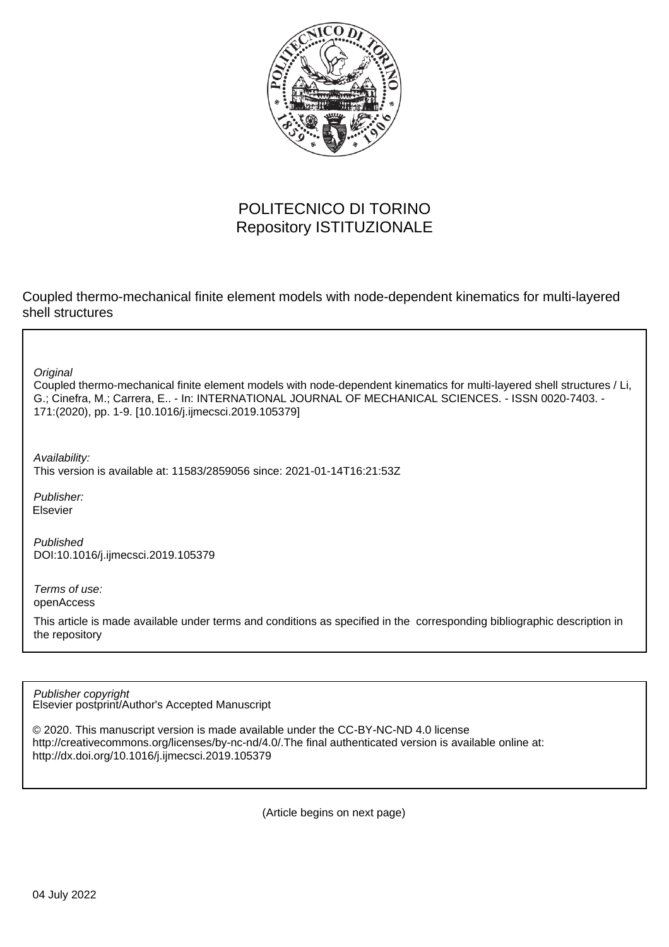

# POLITECNICO DI TORINO Repository ISTITUZIONALE

Coupled thermo-mechanical finite element models with node-dependent kinematics for multi-layered shell structures

**Original** 

Coupled thermo-mechanical finite element models with node-dependent kinematics for multi-layered shell structures / Li, G.; Cinefra, M.; Carrera, E.. - In: INTERNATIONAL JOURNAL OF MECHANICAL SCIENCES. - ISSN 0020-7403. - 171:(2020), pp. 1-9. [10.1016/j.ijmecsci.2019.105379]

Availability:

This version is available at: 11583/2859056 since: 2021-01-14T16:21:53Z

Publisher: Elsevier

Published DOI:10.1016/j.ijmecsci.2019.105379

Terms of use: openAccess

This article is made available under terms and conditions as specified in the corresponding bibliographic description in the repository

Elsevier postprint/Author's Accepted Manuscript Publisher copyright

© 2020. This manuscript version is made available under the CC-BY-NC-ND 4.0 license http://creativecommons.org/licenses/by-nc-nd/4.0/.The final authenticated version is available online at: http://dx.doi.org/10.1016/j.ijmecsci.2019.105379

(Article begins on next page)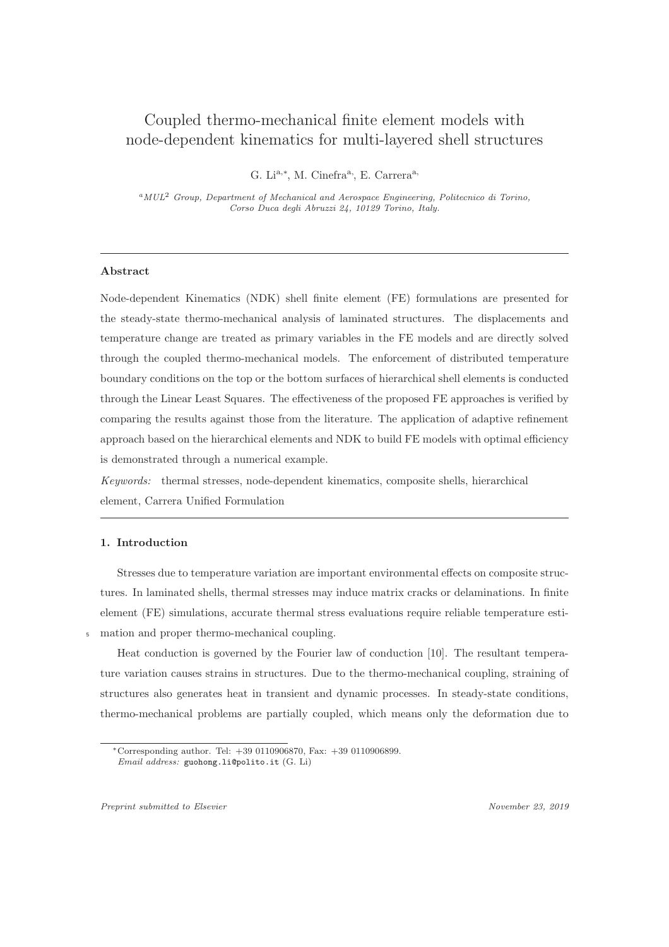# Coupled thermo-mechanical finite element models with node-dependent kinematics for multi-layered shell structures

G. Li<sup>a,\*</sup>, M. Cinefra<sup>a,</sup>, E. Carrera<sup>a,</sup>

<sup>a</sup>*MUL*<sup>2</sup> *Group, Department of Mechanical and Aerospace Engineering, Politecnico di Torino, Corso Duca degli Abruzzi 24, 10129 Torino, Italy.*

# Abstract

Node-dependent Kinematics (NDK) shell finite element (FE) formulations are presented for the steady-state thermo-mechanical analysis of laminated structures. The displacements and temperature change are treated as primary variables in the FE models and are directly solved through the coupled thermo-mechanical models. The enforcement of distributed temperature boundary conditions on the top or the bottom surfaces of hierarchical shell elements is conducted through the Linear Least Squares. The effectiveness of the proposed FE approaches is verified by comparing the results against those from the literature. The application of adaptive refinement approach based on the hierarchical elements and NDK to build FE models with optimal efficiency is demonstrated through a numerical example.

*Keywords:* thermal stresses, node-dependent kinematics, composite shells, hierarchical element, Carrera Unified Formulation

# 1. Introduction

Stresses due to temperature variation are important environmental effects on composite structures. In laminated shells, thermal stresses may induce matrix cracks or delaminations. In finite element (FE) simulations, accurate thermal stress evaluations require reliable temperature estimation and proper thermo-mechanical coupling.

Heat conduction is governed by the Fourier law of conduction [10]. The resultant temperature variation causes strains in structures. Due to the thermo-mechanical coupling, straining of structures also generates heat in transient and dynamic processes. In steady-state conditions, thermo-mechanical problems are partially coupled, which means only the deformation due to

*Preprint submitted to Elsevier November 23, 2019*

<sup>∗</sup>Corresponding author. Tel: +39 0110906870, Fax: +39 0110906899. *Email address:* guohong.li@polito.it (G. Li)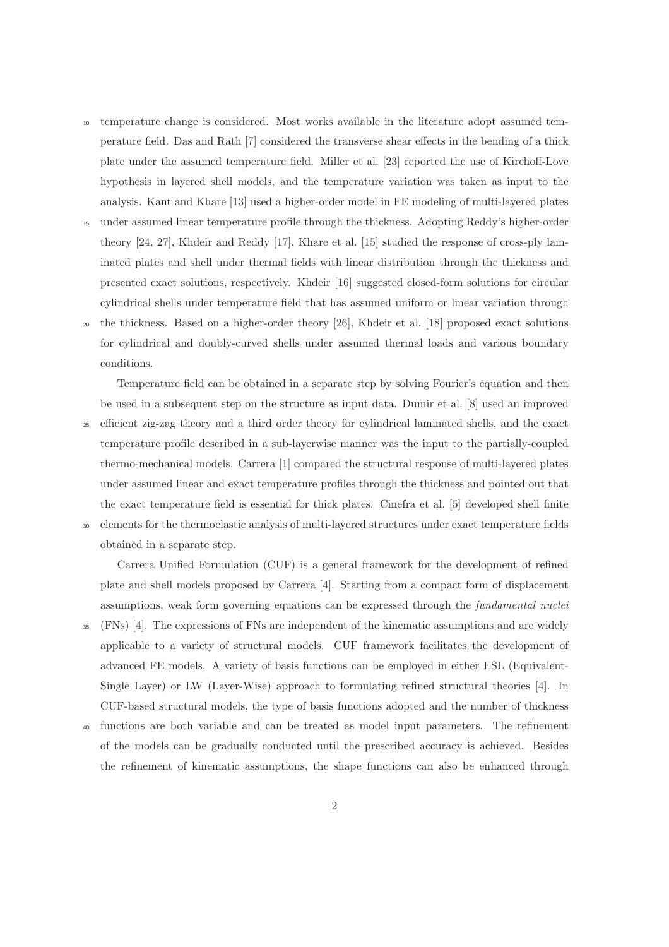- <sup>10</sup> temperature change is considered. Most works available in the literature adopt assumed temperature field. Das and Rath [7] considered the transverse shear effects in the bending of a thick plate under the assumed temperature field. Miller et al. [23] reported the use of Kirchoff-Love hypothesis in layered shell models, and the temperature variation was taken as input to the analysis. Kant and Khare [13] used a higher-order model in FE modeling of multi-layered plates
- <sup>15</sup> under assumed linear temperature profile through the thickness. Adopting Reddy's higher-order theory [24, 27], Khdeir and Reddy [17], Khare et al. [15] studied the response of cross-ply laminated plates and shell under thermal fields with linear distribution through the thickness and presented exact solutions, respectively. Khdeir [16] suggested closed-form solutions for circular cylindrical shells under temperature field that has assumed uniform or linear variation through
- <sup>20</sup> the thickness. Based on a higher-order theory [26], Khdeir et al. [18] proposed exact solutions for cylindrical and doubly-curved shells under assumed thermal loads and various boundary conditions.

Temperature field can be obtained in a separate step by solving Fourier's equation and then be used in a subsequent step on the structure as input data. Dumir et al. [8] used an improved

- <sup>25</sup> efficient zig-zag theory and a third order theory for cylindrical laminated shells, and the exact temperature profile described in a sub-layerwise manner was the input to the partially-coupled thermo-mechanical models. Carrera [1] compared the structural response of multi-layered plates under assumed linear and exact temperature profiles through the thickness and pointed out that the exact temperature field is essential for thick plates. Cinefra et al. [5] developed shell finite
- <sup>30</sup> elements for the thermoelastic analysis of multi-layered structures under exact temperature fields obtained in a separate step.

Carrera Unified Formulation (CUF) is a general framework for the development of refined plate and shell models proposed by Carrera [4]. Starting from a compact form of displacement assumptions, weak form governing equations can be expressed through the *fundamental nuclei*

- <sup>35</sup> (FNs) [4]. The expressions of FNs are independent of the kinematic assumptions and are widely applicable to a variety of structural models. CUF framework facilitates the development of advanced FE models. A variety of basis functions can be employed in either ESL (Equivalent-Single Layer) or LW (Layer-Wise) approach to formulating refined structural theories [4]. In CUF-based structural models, the type of basis functions adopted and the number of thickness
- <sup>40</sup> functions are both variable and can be treated as model input parameters. The refinement of the models can be gradually conducted until the prescribed accuracy is achieved. Besides the refinement of kinematic assumptions, the shape functions can also be enhanced through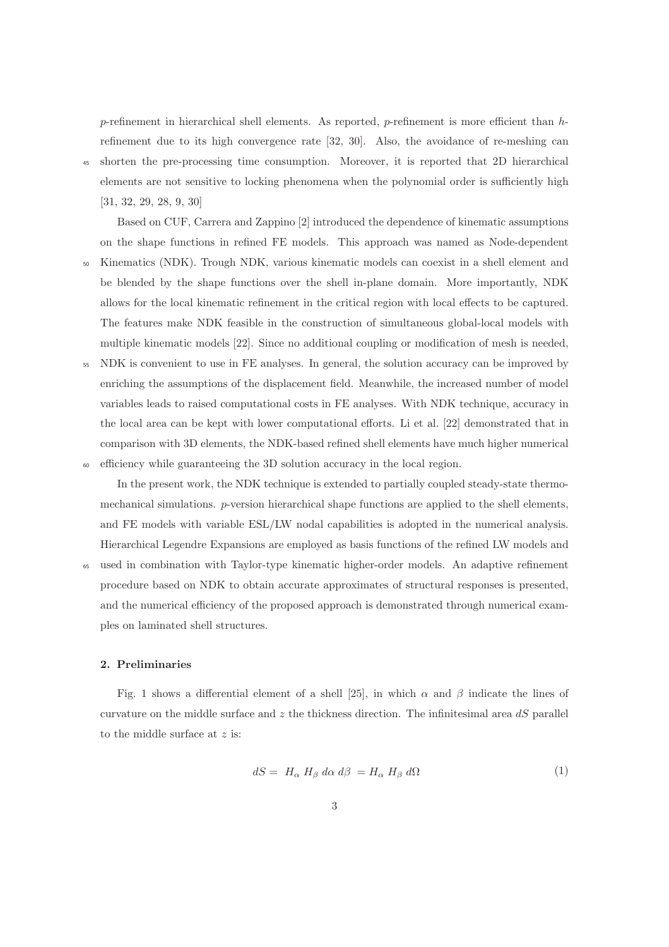p-refinement in hierarchical shell elements. As reported, p-refinement is more efficient than  $h$ refinement due to its high convergence rate [32, 30]. Also, the avoidance of re-meshing can <sup>45</sup> shorten the pre-processing time consumption. Moreover, it is reported that 2D hierarchical

elements are not sensitive to locking phenomena when the polynomial order is sufficiently high [31, 32, 29, 28, 9, 30]

Based on CUF, Carrera and Zappino [2] introduced the dependence of kinematic assumptions on the shape functions in refined FE models. This approach was named as Node-dependent

- <sup>50</sup> Kinematics (NDK). Trough NDK, various kinematic models can coexist in a shell element and be blended by the shape functions over the shell in-plane domain. More importantly, NDK allows for the local kinematic refinement in the critical region with local effects to be captured. The features make NDK feasible in the construction of simultaneous global-local models with multiple kinematic models [22]. Since no additional coupling or modification of mesh is needed,
- <sup>55</sup> NDK is convenient to use in FE analyses. In general, the solution accuracy can be improved by enriching the assumptions of the displacement field. Meanwhile, the increased number of model variables leads to raised computational costs in FE analyses. With NDK technique, accuracy in the local area can be kept with lower computational efforts. Li et al. [22] demonstrated that in comparison with 3D elements, the NDK-based refined shell elements have much higher numerical <sup>60</sup> efficiency while guaranteeing the 3D solution accuracy in the local region.

In the present work, the NDK technique is extended to partially coupled steady-state thermomechanical simulations. p-version hierarchical shape functions are applied to the shell elements, and FE models with variable ESL/LW nodal capabilities is adopted in the numerical analysis. Hierarchical Legendre Expansions are employed as basis functions of the refined LW models and

<sup>65</sup> used in combination with Taylor-type kinematic higher-order models. An adaptive refinement procedure based on NDK to obtain accurate approximates of structural responses is presented, and the numerical efficiency of the proposed approach is demonstrated through numerical examples on laminated shell structures.

# 2. Preliminaries

Fig. 1 shows a differential element of a shell [25], in which  $\alpha$  and  $\beta$  indicate the lines of curvature on the middle surface and  $z$  the thickness direction. The infinitesimal area  $dS$  parallel to the middle surface at z is:

$$
dS = H_{\alpha} H_{\beta} d\alpha d\beta = H_{\alpha} H_{\beta} d\Omega \tag{1}
$$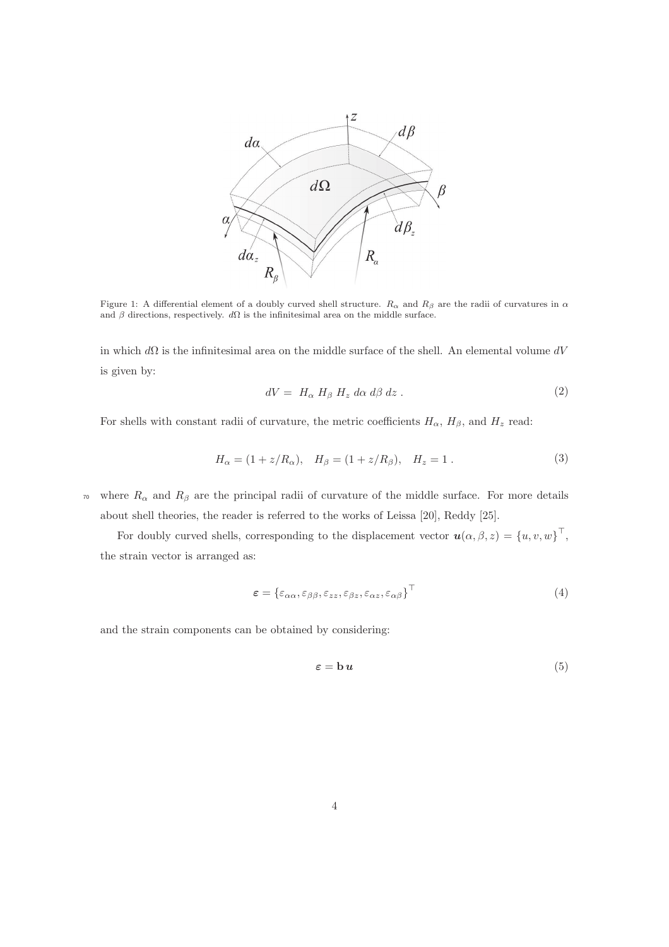

Figure 1: A differential element of a doubly curved shell structure.  $R_{\alpha}$  and  $R_{\beta}$  are the radii of curvatures in  $\alpha$ and  $\beta$  directions, respectively.  $d\Omega$  is the infinitesimal area on the middle surface.

in which  $d\Omega$  is the infinitesimal area on the middle surface of the shell. An elemental volume  $dV$ is given by:

$$
dV = H_{\alpha} H_{\beta} H_z d\alpha d\beta dz . \qquad (2)
$$

For shells with constant radii of curvature, the metric coefficients  $H_{\alpha}$ ,  $H_{\beta}$ , and  $H_{z}$  read:

$$
H_{\alpha} = (1 + z/R_{\alpha}), \quad H_{\beta} = (1 + z/R_{\beta}), \quad H_{z} = 1.
$$
 (3)

<sup>70</sup> where  $R_{\alpha}$  and  $R_{\beta}$  are the principal radii of curvature of the middle surface. For more details about shell theories, the reader is referred to the works of Leissa [20], Reddy [25].

For doubly curved shells, corresponding to the displacement vector  $\mathbf{u}(\alpha,\beta,z) = \{u,v,w\}^{\top}$ , the strain vector is arranged as:

$$
\boldsymbol{\varepsilon} = \left\{ \varepsilon_{\alpha\alpha}, \varepsilon_{\beta\beta}, \varepsilon_{zz}, \varepsilon_{\beta z}, \varepsilon_{\alpha z}, \varepsilon_{\alpha\beta} \right\}^{\top} \tag{4}
$$

and the strain components can be obtained by considering:

$$
\varepsilon = b u \tag{5}
$$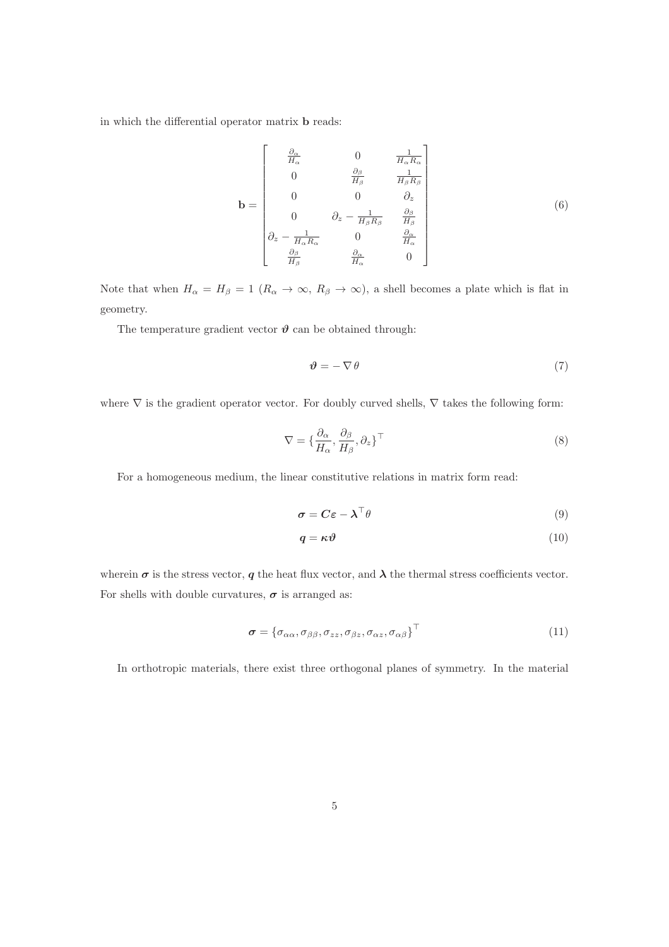in which the differential operator matrix b reads:

$$
\mathbf{b} = \begin{bmatrix} \frac{\partial_{\alpha}}{H_{\alpha}} & 0 & \frac{1}{H_{\alpha}R_{\alpha}}\\ 0 & \frac{\partial_{\beta}}{H_{\beta}} & \frac{1}{H_{\beta}R_{\beta}}\\ 0 & 0 & \partial_{z} \\ 0 & \partial_{z} - \frac{1}{H_{\beta}R_{\beta}} & \frac{\partial_{\beta}}{H_{\beta}}\\ \partial_{z} - \frac{1}{H_{\alpha}R_{\alpha}} & 0 & \frac{\partial_{\alpha}}{R_{\alpha}}\\ \frac{\partial_{\beta}}{H_{\beta}} & \frac{\partial_{\alpha}}{H_{\alpha}} & 0 \end{bmatrix}
$$
(6)

Note that when  $H_{\alpha} = H_{\beta} = 1$   $(R_{\alpha} \to \infty, R_{\beta} \to \infty)$ , a shell becomes a plate which is flat in geometry.

The temperature gradient vector  $\vartheta$  can be obtained through:

$$
\vartheta = -\nabla \theta \tag{7}
$$

where  $\nabla$  is the gradient operator vector. For doubly curved shells,  $\nabla$  takes the following form:

$$
\nabla = \{\frac{\partial_{\alpha}}{H_{\alpha}}, \frac{\partial_{\beta}}{H_{\beta}}, \partial_{z}\}^{\top}
$$
\n(8)

For a homogeneous medium, the linear constitutive relations in matrix form read:

$$
\boldsymbol{\sigma} = \boldsymbol{C}\boldsymbol{\varepsilon} - \boldsymbol{\lambda}^\top \boldsymbol{\theta} \tag{9}
$$

$$
q = \kappa \vartheta \tag{10}
$$

wherein  $\sigma$  is the stress vector,  $q$  the heat flux vector, and  $\lambda$  the thermal stress coefficients vector. For shells with double curvatures,  $\pmb{\sigma}$  is arranged as:

$$
\boldsymbol{\sigma} = \left\{ \sigma_{\alpha\alpha}, \sigma_{\beta\beta}, \sigma_{zz}, \sigma_{\beta z}, \sigma_{\alpha z}, \sigma_{\alpha\beta} \right\}^{\top}
$$
\n(11)

In orthotropic materials, there exist three orthogonal planes of symmetry. In the material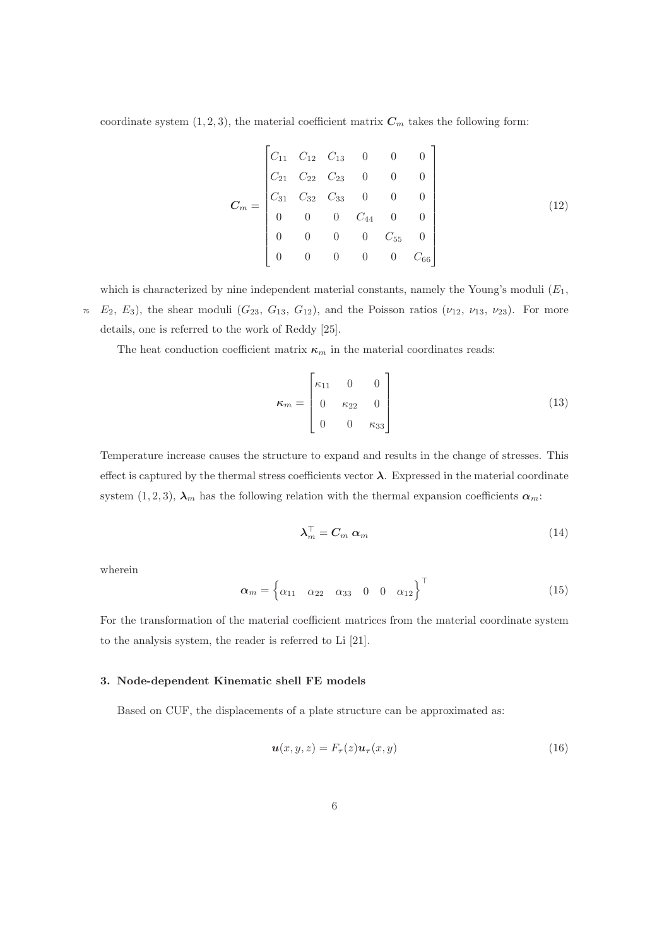coordinate system  $(1, 2, 3)$ , the material coefficient matrix  $C_m$  takes the following form:

$$
C_m = \begin{bmatrix} C_{11} & C_{12} & C_{13} & 0 & 0 & 0 \\ C_{21} & C_{22} & C_{23} & 0 & 0 & 0 \\ C_{31} & C_{32} & C_{33} & 0 & 0 & 0 \\ 0 & 0 & 0 & C_{44} & 0 & 0 \\ 0 & 0 & 0 & 0 & C_{55} & 0 \\ 0 & 0 & 0 & 0 & 0 & C_{66} \end{bmatrix} \tag{12}
$$

which is characterized by nine independent material constants, namely the Young's moduli  $(E_1,$  $\tau_5$  E<sub>2</sub>, E<sub>3</sub>), the shear moduli ( $G_{23}$ ,  $G_{13}$ ,  $G_{12}$ ), and the Poisson ratios ( $\nu_{12}$ ,  $\nu_{13}$ ,  $\nu_{23}$ ). For more details, one is referred to the work of Reddy [25].

The heat conduction coefficient matrix  $\kappa_m$  in the material coordinates reads:

$$
\kappa_m = \begin{bmatrix} \kappa_{11} & 0 & 0 \\ 0 & \kappa_{22} & 0 \\ 0 & 0 & \kappa_{33} \end{bmatrix}
$$
 (13)

Temperature increase causes the structure to expand and results in the change of stresses. This effect is captured by the thermal stress coefficients vector  $\lambda$ . Expressed in the material coordinate system (1, 2, 3),  $\lambda_m$  has the following relation with the thermal expansion coefficients  $\alpha_m$ :

$$
\boldsymbol{\lambda}_m^\top = \boldsymbol{C}_m \; \boldsymbol{\alpha}_m \tag{14}
$$

wherein

$$
\boldsymbol{\alpha}_m = \begin{cases} \alpha_{11} & \alpha_{22} & \alpha_{33} & 0 & 0 & \alpha_{12} \end{cases}^\top \tag{15}
$$

For the transformation of the material coefficient matrices from the material coordinate system to the analysis system, the reader is referred to Li [21].

### 3. Node-dependent Kinematic shell FE models

Based on CUF, the displacements of a plate structure can be approximated as:

$$
\mathbf{u}(x,y,z) = F_{\tau}(z)\mathbf{u}_{\tau}(x,y) \tag{16}
$$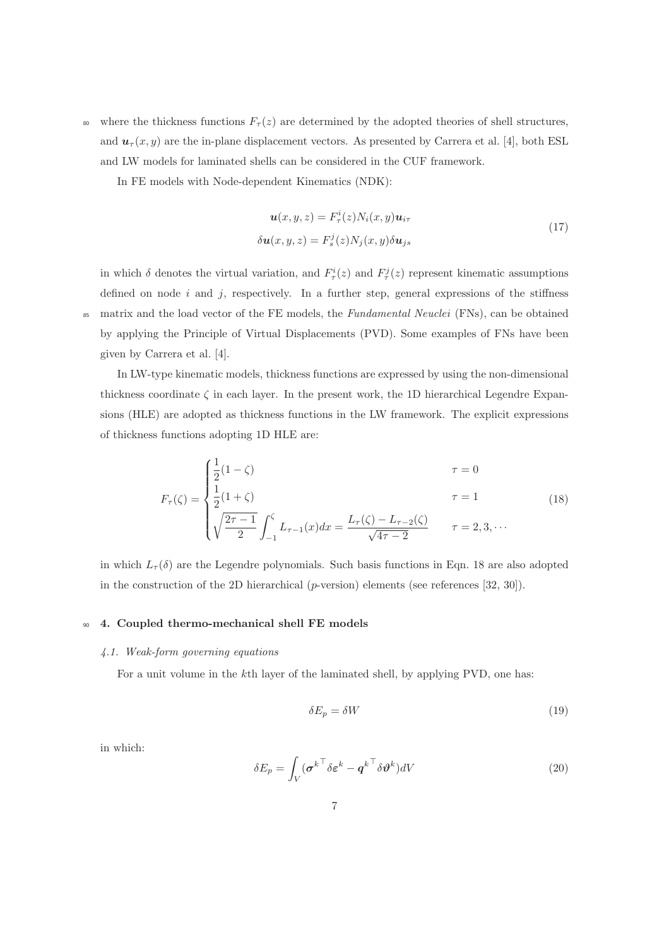<sup>80</sup> where the thickness functions  $F_\tau(z)$  are determined by the adopted theories of shell structures, and  $u_{\tau}(x, y)$  are the in-plane displacement vectors. As presented by Carrera et al. [4], both ESL and LW models for laminated shells can be considered in the CUF framework.

In FE models with Node-dependent Kinematics (NDK):

$$
\mathbf{u}(x, y, z) = F_{\tau}^{i}(z)N_{i}(x, y)\mathbf{u}_{i\tau}
$$
  
\n
$$
\delta \mathbf{u}(x, y, z) = F_{s}^{j}(z)N_{j}(x, y)\delta \mathbf{u}_{j s}
$$
\n(17)

in which  $\delta$  denotes the virtual variation, and  $F_{\tau}^{i}(z)$  and  $F_{\tau}^{j}(z)$  represent kinematic assumptions defined on node  $i$  and  $j$ , respectively. In a further step, general expressions of the stiffness <sup>85</sup> matrix and the load vector of the FE models, the *Fundamental Neuclei* (FNs), can be obtained by applying the Principle of Virtual Displacements (PVD). Some examples of FNs have been given by Carrera et al. [4].

In LW-type kinematic models, thickness functions are expressed by using the non-dimensional thickness coordinate  $\zeta$  in each layer. In the present work, the 1D hierarchical Legendre Expansions (HLE) are adopted as thickness functions in the LW framework. The explicit expressions of thickness functions adopting 1D HLE are:

$$
F_{\tau}(\zeta) = \begin{cases} \frac{1}{2}(1-\zeta) & \tau = 0\\ \frac{1}{2}(1+\zeta) & \tau = 1\\ \sqrt{\frac{2\tau - 1}{2}} \int_{-1}^{\zeta} L_{\tau-1}(x) dx = \frac{L_{\tau}(\zeta) - L_{\tau-2}(\zeta)}{\sqrt{4\tau - 2}} & \tau = 2, 3, \cdots \end{cases}
$$
(18)

in which  $L_{\tau}(\delta)$  are the Legendre polynomials. Such basis functions in Eqn. 18 are also adopted in the construction of the 2D hierarchical ( $p$ -version) elements (see references [32, 30]).

# 90 4. Coupled thermo-mechanical shell FE models

### *4.1. Weak-form governing equations*

For a unit volume in the kth layer of the laminated shell, by applying PVD, one has:

$$
\delta E_p = \delta W \tag{19}
$$

in which:

$$
\delta E_p = \int_V (\boldsymbol{\sigma}^{k\top} \delta \boldsymbol{\varepsilon}^k - \boldsymbol{q}^{k\top} \delta \boldsymbol{\vartheta}^k) dV \tag{20}
$$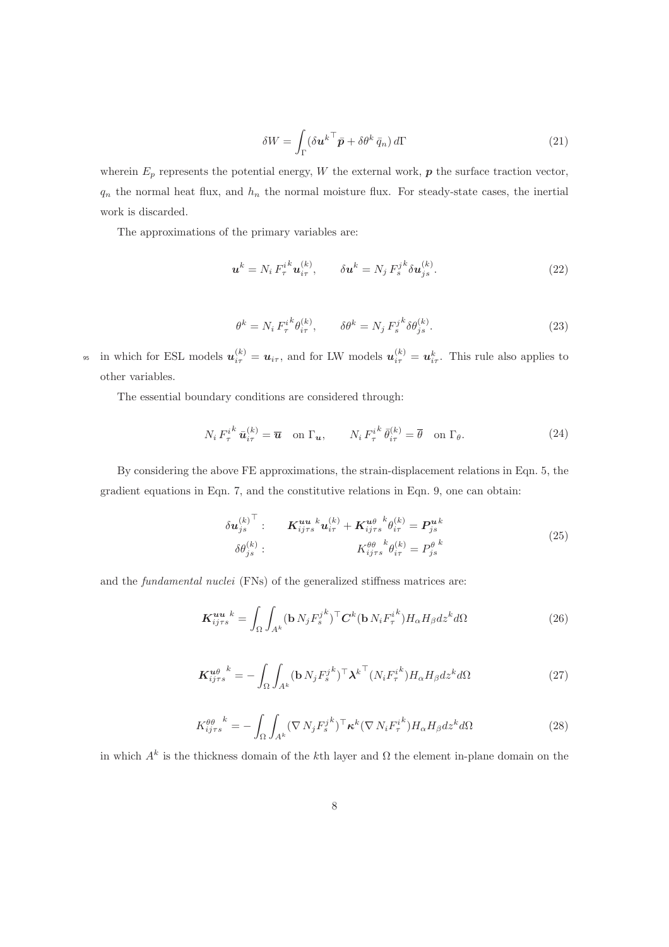$$
\delta W = \int_{\Gamma} (\delta \boldsymbol{u}^{k \top} \bar{\boldsymbol{p}} + \delta \theta^k \bar{q}_n) d\Gamma \tag{21}
$$

wherein  $E_p$  represents the potential energy, W the external work,  $p$  the surface traction vector,  $q_n$  the normal heat flux, and  $h_n$  the normal moisture flux. For steady-state cases, the inertial work is discarded.

The approximations of the primary variables are:

$$
\mathbf{u}^{k} = N_i F_{\tau}^{i^{k}} \mathbf{u}_{i\tau}^{(k)}, \qquad \delta \mathbf{u}^{k} = N_j F_{s}^{j^{k}} \delta \mathbf{u}_{js}^{(k)}.
$$
 (22)

$$
\theta^k = N_i F_\tau^{i^k} \theta_{i\tau}^{(k)}, \qquad \delta \theta^k = N_j F_s^{j^k} \delta \theta_{j^s}^{(k)}.
$$
\n
$$
(23)
$$

<sup>95</sup> in which for ESL models  $u_{i\tau}^{(k)} = u_{i\tau}$ , and for LW models  $u_{i\tau}^{(k)} = u_{i\tau}^k$ . This rule also applies to other variables.

The essential boundary conditions are considered through:

$$
N_i F_\tau^{i^k} \bar{\mathbf{u}}_{i\tau}^{(k)} = \overline{\mathbf{u}} \quad \text{on } \Gamma_{\mathbf{u}}, \qquad N_i F_\tau^{i^k} \bar{\theta}_{i\tau}^{(k)} = \overline{\theta} \quad \text{on } \Gamma_{\theta}.
$$
 (24)

By considering the above FE approximations, the strain-displacement relations in Eqn. 5, the gradient equations in Eqn. 7, and the constitutive relations in Eqn. 9, one can obtain:

$$
\delta \boldsymbol{u}_{js}^{(k)}^{\top} : \qquad \boldsymbol{K}_{ij\tau s}^{\boldsymbol{uu}} \boldsymbol{u}_{i\tau}^{(k)} + \boldsymbol{K}_{ij\tau s}^{\boldsymbol{u\theta}} \boldsymbol{h}_{i\tau}^{(k)} = \boldsymbol{P}_{js}^{\boldsymbol{u}k} \n\delta \theta_{js}^{(k)} : \qquad \qquad K_{ij\tau s}^{\theta\theta} \boldsymbol{h}_{i\tau}^{(k)} = P_{js}^{\theta} \tag{25}
$$

and the *fundamental nuclei* (FNs) of the generalized stiffness matrices are:

$$
\boldsymbol{K}_{ij\tau s}^{\boldsymbol{uu}^k} = \int_{\Omega} \int_{A^k} (\mathbf{b} N_j F_s^{j^k})^\top \boldsymbol{C}^k (\mathbf{b} N_i F_\tau^{i^k}) H_\alpha H_\beta dz^k d\Omega \tag{26}
$$

$$
\boldsymbol{K}_{ij\tau s}^{\mathbf{u}\theta}{}^{k} = -\int_{\Omega} \int_{A^{k}} (\mathbf{b} N_{j} F_{s}^{j^{k}})^{\top} \boldsymbol{\lambda}^{k}{}^{\top} (N_{i} F_{\tau}^{i^{k}}) H_{\alpha} H_{\beta} dz^{k} d\Omega \tag{27}
$$

$$
K_{ij\tau s}^{\theta\theta}{}^{k} = -\int_{\Omega} \int_{A^{k}} (\nabla N_{j} F_{s}^{j^{k}})^{\top} \kappa^{k} (\nabla N_{i} F_{\tau}^{i^{k}}) H_{\alpha} H_{\beta} dz^{k} d\Omega \tag{28}
$$

in which  $A^k$  is the thickness domain of the k<sup>th</sup> layer and  $\Omega$  the element in-plane domain on the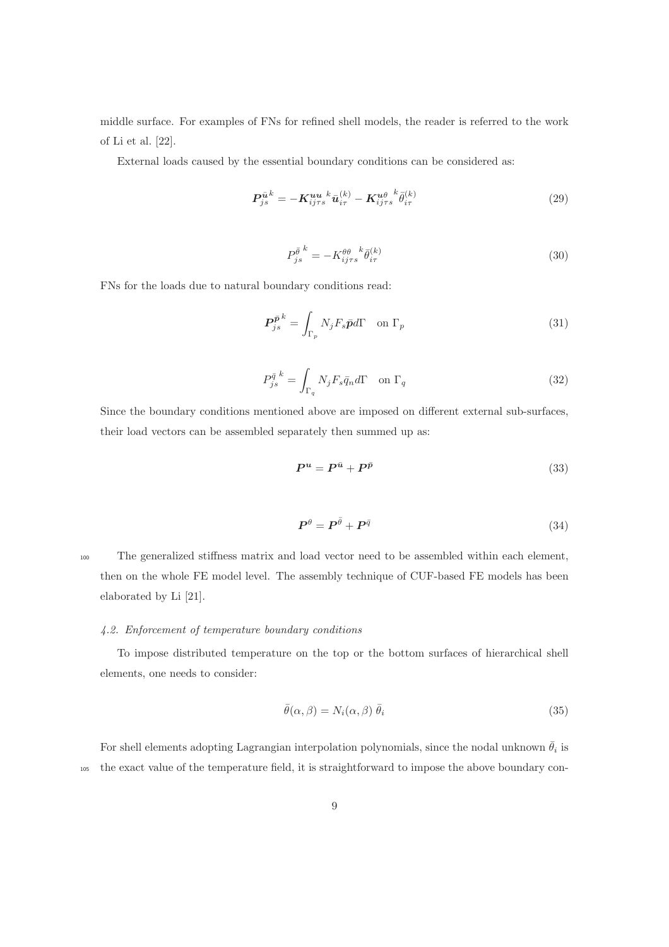middle surface. For examples of FNs for refined shell models, the reader is referred to the work of Li et al. [22].

External loads caused by the essential boundary conditions can be considered as:

$$
P_{js}^{\bar{u}^k} = -K_{ij\tau s}^{uu k} \bar{u}_{i\tau}^{(k)} - K_{ij\tau s}^{u\theta} \bar{\theta}_{i\tau}^{(k)}
$$
(29)

$$
P_{js}^{\bar{\theta}^{k}} = -K_{ij\tau s}^{\theta\theta} \bar{\theta}_{i\tau}^{(k)}
$$
\n(30)

FNs for the loads due to natural boundary conditions read:

$$
P_{js}^{\bar{p}k} = \int_{\Gamma_p} N_j F_s \bar{p} d\Gamma \quad \text{on } \Gamma_p \tag{31}
$$

$$
P_{js}^{\bar{q} k} = \int_{\Gamma_q} N_j F_s \bar{q}_n d\Gamma \quad \text{on } \Gamma_q \tag{32}
$$

Since the boundary conditions mentioned above are imposed on different external sub-surfaces, their load vectors can be assembled separately then summed up as:

$$
P^u = P^{\bar{u}} + P^{\bar{p}} \tag{33}
$$

$$
\boldsymbol{P}^{\theta} = \boldsymbol{P}^{\bar{\theta}} + \boldsymbol{P}^{\bar{q}} \tag{34}
$$

<sup>100</sup> The generalized stiffness matrix and load vector need to be assembled within each element, then on the whole FE model level. The assembly technique of CUF-based FE models has been elaborated by Li [21].

# *4.2. Enforcement of temperature boundary conditions*

To impose distributed temperature on the top or the bottom surfaces of hierarchical shell elements, one needs to consider:

$$
\bar{\theta}(\alpha,\beta) = N_i(\alpha,\beta) \bar{\theta}_i \tag{35}
$$

For shell elements adopting Lagrangian interpolation polynomials, since the nodal unknown  $\bar{\theta}_i$  is <sup>105</sup> the exact value of the temperature field, it is straightforward to impose the above boundary con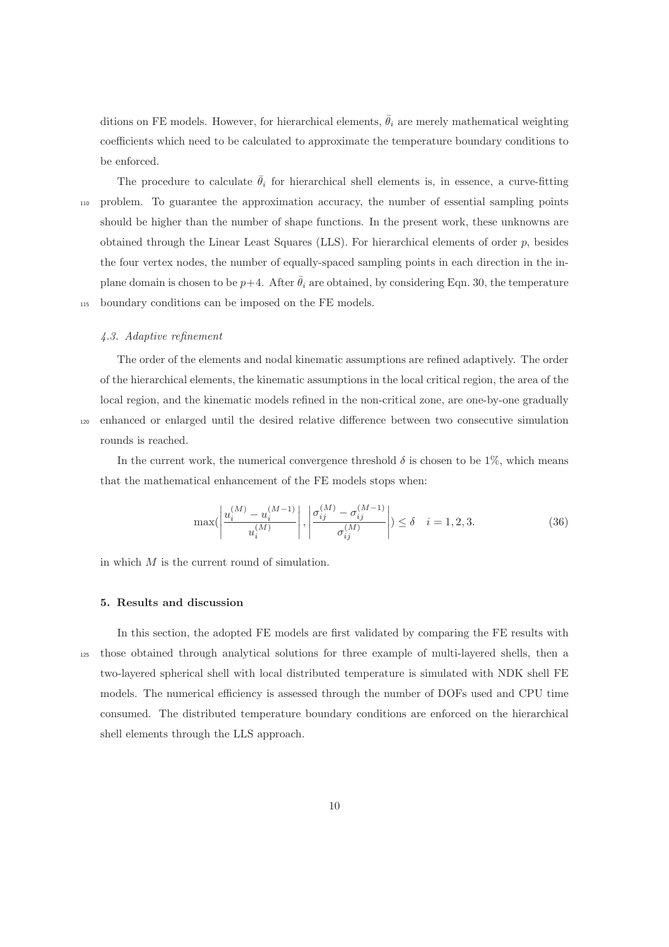ditions on FE models. However, for hierarchical elements,  $\bar{\theta}_i$  are merely mathematical weighting coefficients which need to be calculated to approximate the temperature boundary conditions to be enforced.

The procedure to calculate  $\bar{\theta}_i$  for hierarchical shell elements is, in essence, a curve-fitting <sup>110</sup> problem. To guarantee the approximation accuracy, the number of essential sampling points should be higher than the number of shape functions. In the present work, these unknowns are obtained through the Linear Least Squares (LLS). For hierarchical elements of order  $p$ , besides the four vertex nodes, the number of equally-spaced sampling points in each direction in the inplane domain is chosen to be  $p+4$ . After  $\bar{\theta}_i$  are obtained, by considering Eqn. 30, the temperature <sup>115</sup> boundary conditions can be imposed on the FE models.

# *4.3. Adaptive refinement*

The order of the elements and nodal kinematic assumptions are refined adaptively. The order of the hierarchical elements, the kinematic assumptions in the local critical region, the area of the local region, and the kinematic models refined in the non-critical zone, are one-by-one gradually <sup>120</sup> enhanced or enlarged until the desired relative difference between two consecutive simulation rounds is reached.

In the current work, the numerical convergence threshold  $\delta$  is chosen to be 1%, which means that the mathematical enhancement of the FE models stops when:

$$
\max\left(\left|\frac{u_i^{(M)} - u_i^{(M-1)}}{u_i^{(M)}}\right|, \left|\frac{\sigma_{ij}^{(M)} - \sigma_{ij}^{(M-1)}}{\sigma_{ij}^{(M)}}\right|\right) \le \delta \quad i = 1, 2, 3. \tag{36}
$$

in which  $M$  is the current round of simulation.

## 5. Results and discussion

In this section, the adopted FE models are first validated by comparing the FE results with <sup>125</sup> those obtained through analytical solutions for three example of multi-layered shells, then a two-layered spherical shell with local distributed temperature is simulated with NDK shell FE models. The numerical efficiency is assessed through the number of DOFs used and CPU time consumed. The distributed temperature boundary conditions are enforced on the hierarchical shell elements through the LLS approach.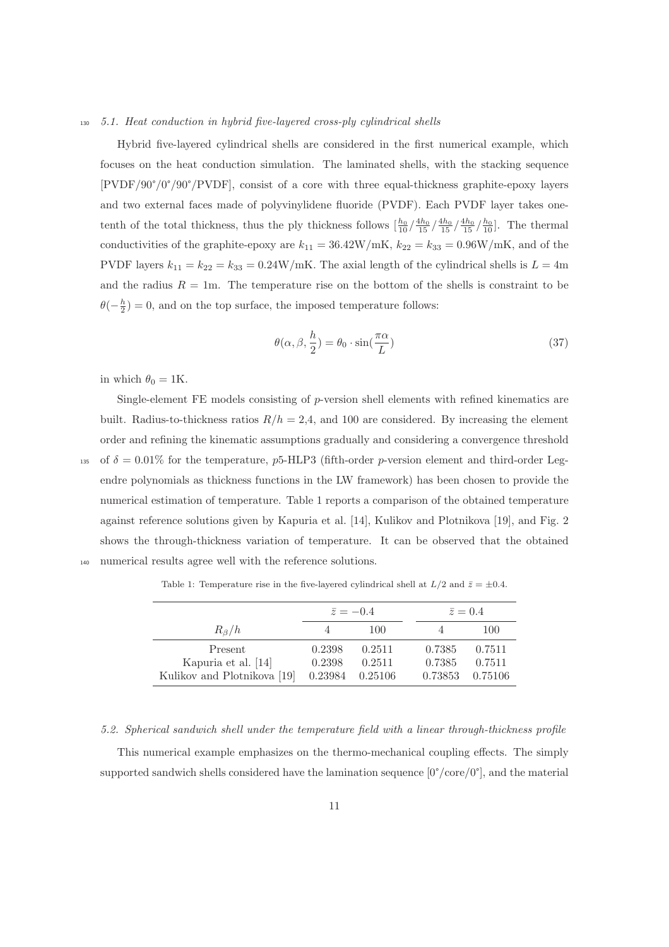### <sup>130</sup> *5.1. Heat conduction in hybrid five-layered cross-ply cylindrical shells*

Hybrid five-layered cylindrical shells are considered in the first numerical example, which focuses on the heat conduction simulation. The laminated shells, with the stacking sequence [PVDF/90°/0°/90°/PVDF], consist of a core with three equal-thickness graphite-epoxy layers and two external faces made of polyvinylidene fluoride (PVDF). Each PVDF layer takes onetenth of the total thickness, thus the ply thickness follows  $\left[\frac{h_0}{10}\right]\frac{4h_0}{15}\left(\frac{4h_0}{15}\right)\frac{4h_0}{15}$ . The thermal conductivities of the graphite-epoxy are  $k_{11} = 36.42 \text{W/mK}$ ,  $k_{22} = k_{33} = 0.96 \text{W/mK}$ , and of the PVDF layers  $k_{11} = k_{22} = k_{33} = 0.24 \text{W/mK}$ . The axial length of the cylindrical shells is  $L = 4 \text{m}$ and the radius  $R = 1m$ . The temperature rise on the bottom of the shells is constraint to be  $\theta(-\frac{h}{2}) = 0$ , and on the top surface, the imposed temperature follows:

$$
\theta(\alpha, \beta, \frac{h}{2}) = \theta_0 \cdot \sin(\frac{\pi \alpha}{L})
$$
\n(37)

in which  $\theta_0 = 1$ K.

Single-element FE models consisting of  $p$ -version shell elements with refined kinematics are built. Radius-to-thickness ratios  $R/h = 2.4$ , and 100 are considered. By increasing the element order and refining the kinematic assumptions gradually and considering a convergence threshold 135 of  $\delta = 0.01\%$  for the temperature, p5-HLP3 (fifth-order p-version element and third-order Legendre polynomials as thickness functions in the LW framework) has been chosen to provide the numerical estimation of temperature. Table 1 reports a comparison of the obtained temperature against reference solutions given by Kapuria et al. [14], Kulikov and Plotnikova [19], and Fig. 2 shows the through-thickness variation of temperature. It can be observed that the obtained <sup>140</sup> numerical results agree well with the reference solutions.

|                             |        | $\overline{z} = -0.4$ | $\bar{z}=0.4$ |         |  |
|-----------------------------|--------|-----------------------|---------------|---------|--|
| $R_\beta/h$                 |        | 100                   |               | 100     |  |
| Present                     | 0.2398 | 0.2511                | 0.7385        | 0.7511  |  |
| Kapuria et al. [14]         | 0.2398 | 0.2511                | 0.7385        | 0.7511  |  |
| Kulikov and Plotnikova [19] |        | 0.23984 0.25106       | 0.73853       | 0.75106 |  |

Table 1: Temperature rise in the five-layered cylindrical shell at  $L/2$  and  $\bar{z} = \pm 0.4$ .

*5.2. Spherical sandwich shell under the temperature field with a linear through-thickness profile*

This numerical example emphasizes on the thermo-mechanical coupling effects. The simply supported sandwich shells considered have the lamination sequence  $[0^{\circ}/\text{core}/0^{\circ}]$ , and the material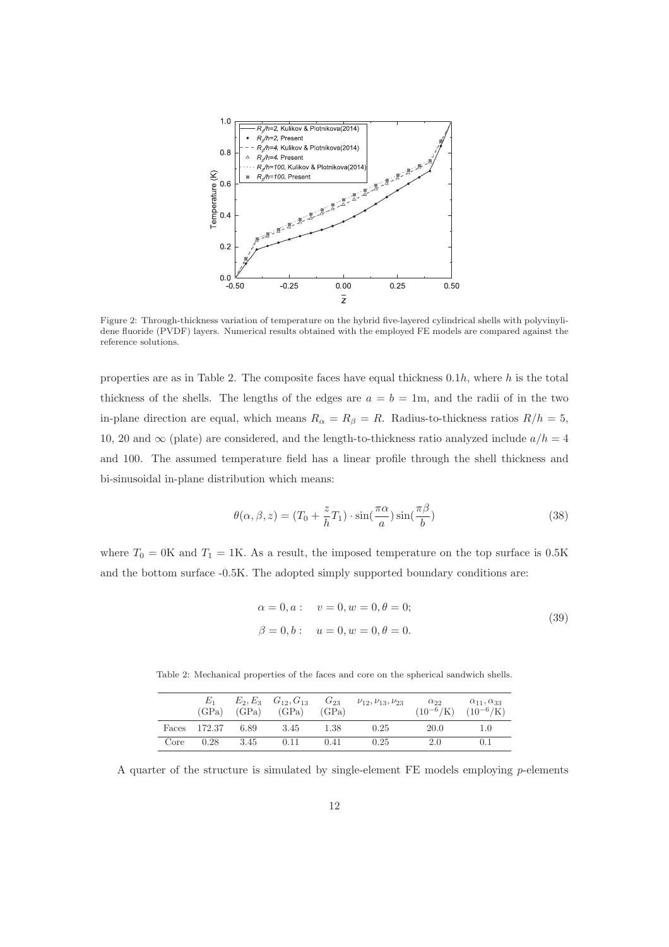

Figure 2: Through-thickness variation of temperature on the hybrid five-layered cylindrical shells with polyvinylidene fluoride (PVDF) layers. Numerical results obtained with the employed FE models are compared against the reference solutions.

properties are as in Table 2. The composite faces have equal thickness  $0.1h$ , where h is the total thickness of the shells. The lengths of the edges are  $a = b = 1$ m, and the radii of in the two in-plane direction are equal, which means  $R_{\alpha} = R_{\beta} = R$ . Radius-to-thickness ratios  $R/h = 5$ , 10, 20 and  $\infty$  (plate) are considered, and the length-to-thickness ratio analyzed include  $a/h = 4$ and 100. The assumed temperature field has a linear profile through the shell thickness and bi-sinusoidal in-plane distribution which means:

$$
\theta(\alpha, \beta, z) = (T_0 + \frac{z}{h} T_1) \cdot \sin(\frac{\pi \alpha}{a}) \sin(\frac{\pi \beta}{b})
$$
\n(38)

where  $T_0 = 0$ K and  $T_1 = 1$ K. As a result, the imposed temperature on the top surface is 0.5K and the bottom surface -0.5K. The adopted simply supported boundary conditions are:

$$
\alpha = 0, a: \quad v = 0, w = 0, \theta = 0;
$$
  
\n $\beta = 0, b: \quad u = 0, w = 0, \theta = 0.$ \n(39)

Table 2: Mechanical properties of the faces and core on the spherical sandwich shells.

|       | (GPa)  | (GPa) | $E_2, E_3$ $G_{12}, G_{13}$<br>(GPa) | $G_{23}$<br>(GPa) | $\nu_{12}, \nu_{13}, \nu_{23}$ | $\alpha_{22}$ | $\alpha_{11}, \alpha_{33}$<br>$(10^{-6}/\mathrm{K})$ $(10^{-6}/\mathrm{K})$ |
|-------|--------|-------|--------------------------------------|-------------------|--------------------------------|---------------|-----------------------------------------------------------------------------|
| Faces | 172.37 | 6.89  | 3.45                                 | 1.38              | 0.25                           | 20.0          | $1.0\,$                                                                     |
| Core  | 0.28   | 3.45  | 0.11                                 | 0.41              | 0.25                           | 2.0           | 0.1                                                                         |

A quarter of the structure is simulated by single-element  $FE$  models employing p-elements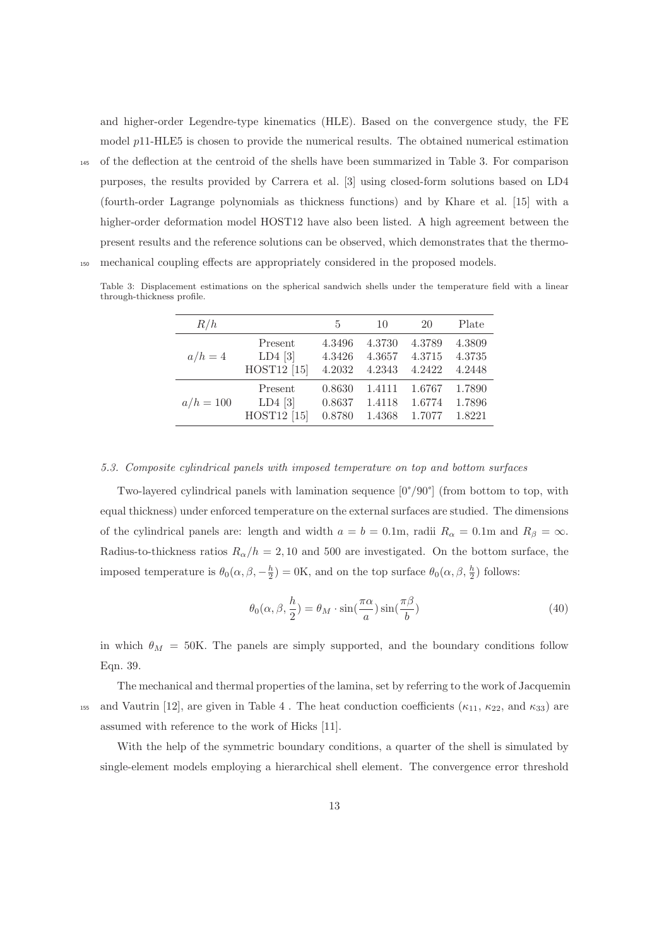and higher-order Legendre-type kinematics (HLE). Based on the convergence study, the FE model  $p11$ -HLE5 is chosen to provide the numerical results. The obtained numerical estimation

<sup>145</sup> of the deflection at the centroid of the shells have been summarized in Table 3. For comparison purposes, the results provided by Carrera et al. [3] using closed-form solutions based on LD4 (fourth-order Lagrange polynomials as thickness functions) and by Khare et al. [15] with a higher-order deformation model HOST12 have also been listed. A high agreement between the

present results and the reference solutions can be observed, which demonstrates that the thermo-<sup>150</sup> mechanical coupling effects are appropriately considered in the proposed models.

Table 3: Displacement estimations on the spherical sandwich shells under the temperature field with a linear through-thickness profile.

| R/h         |                        | 5      | 10     | 20     | Plate  |
|-------------|------------------------|--------|--------|--------|--------|
| $a/h=4$     | Present                | 4.3496 | 4.3730 | 4.3789 | 4.3809 |
|             | $LD4$ [3]              | 4.3426 | 4.3657 | 4.3715 | 4.3735 |
|             | HOST12 <sup>[15]</sup> | 4.2032 | 4.2343 | 4.2422 | 4.2448 |
| $a/h = 100$ | Present                | 0.8630 | 1.4111 | 1.6767 | 1.7890 |
|             | $LD4$ [3]              | 0.8637 | 1.4118 | 1.6774 | 1.7896 |
|             | HOST12 <sup>[15]</sup> | 0.8780 | 1.4368 | 1.7077 | 1.8221 |

## *5.3. Composite cylindrical panels with imposed temperature on top and bottom surfaces*

Two-layered cylindrical panels with lamination sequence [0°/90°] (from bottom to top, with equal thickness) under enforced temperature on the external surfaces are studied. The dimensions of the cylindrical panels are: length and width  $a = b = 0.1$ m, radii  $R_{\alpha} = 0.1$ m and  $R_{\beta} = \infty$ . Radius-to-thickness ratios  $R_{\alpha}/h = 2,10$  and 500 are investigated. On the bottom surface, the imposed temperature is  $\theta_0(\alpha,\beta,-\frac{h}{2})=0$ K, and on the top surface  $\theta_0(\alpha,\beta,\frac{h}{2})$  follows:

$$
\theta_0(\alpha, \beta, \frac{h}{2}) = \theta_M \cdot \sin(\frac{\pi \alpha}{a}) \sin(\frac{\pi \beta}{b})
$$
\n(40)

in which  $\theta_M = 50$ K. The panels are simply supported, and the boundary conditions follow Eqn. 39.

The mechanical and thermal properties of the lamina, set by referring to the work of Jacquemin 155 and Vautrin [12], are given in Table 4. The heat conduction coefficients  $(\kappa_{11}, \kappa_{22}, \text{ and } \kappa_{33})$  are assumed with reference to the work of Hicks [11].

With the help of the symmetric boundary conditions, a quarter of the shell is simulated by single-element models employing a hierarchical shell element. The convergence error threshold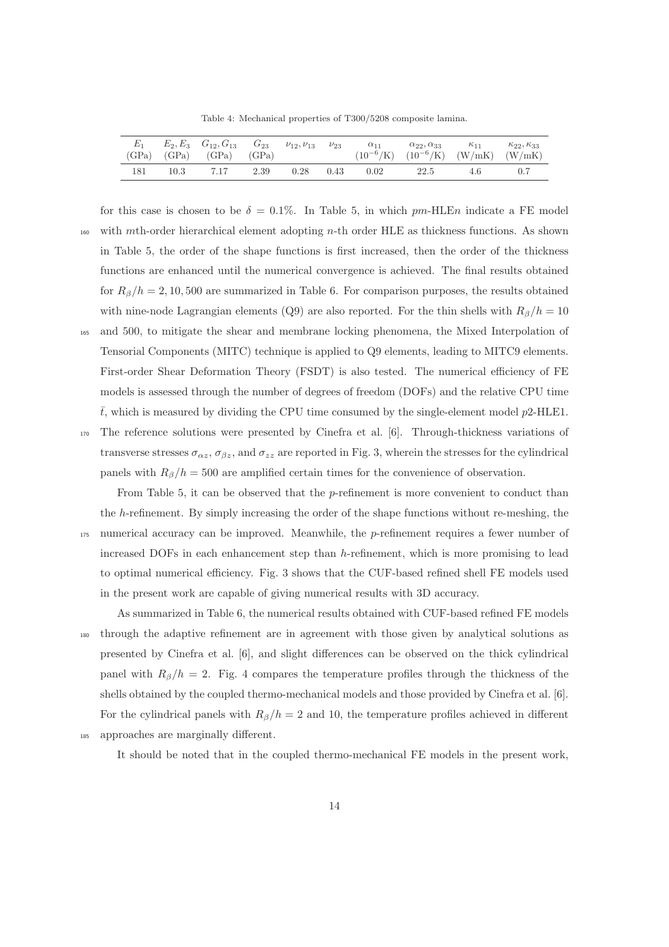Table 4: Mechanical properties of T300/5208 composite lamina.

| $E_1$ |      | $E_2, E_3$ $G_{12}, G_{13}$ $G_{23}$ $\nu_{12}, \nu_{13}$ $\nu_{23}$<br>$(GPa)$ $(GPa)$ $(GPa)$ $(GPa)$ |      |      |      | $\alpha_{11}$ | $\alpha_{22}, \alpha_{33}$<br>$(10^{-6}/\text{K})$ $(10^{-6}/\text{K})$ $(\text{W/mK})$ $(\text{W/mK})$ | $\kappa_{11}$ | $\kappa_{22}, \kappa_{33}$ |
|-------|------|---------------------------------------------------------------------------------------------------------|------|------|------|---------------|---------------------------------------------------------------------------------------------------------|---------------|----------------------------|
| 181   | 10.3 | 7.17                                                                                                    | 2.39 | 0.28 | 0.43 | 0.02          | 22.5                                                                                                    | 4.6           |                            |

- for this case is chosen to be  $\delta = 0.1\%$ . In Table 5, in which pm-HLEn indicate a FE model 160 with mth-order hierarchical element adopting n-th order HLE as thickness functions. As shown in Table 5, the order of the shape functions is first increased, then the order of the thickness functions are enhanced until the numerical convergence is achieved. The final results obtained for  $R_\beta/h = 2, 10, 500$  are summarized in Table 6. For comparison purposes, the results obtained with nine-node Lagrangian elements (Q9) are also reported. For the thin shells with  $R_\beta/h = 10$ <sup>165</sup> and 500, to mitigate the shear and membrane locking phenomena, the Mixed Interpolation of Tensorial Components (MITC) technique is applied to Q9 elements, leading to MITC9 elements. First-order Shear Deformation Theory (FSDT) is also tested. The numerical efficiency of FE models is assessed through the number of degrees of freedom (DOFs) and the relative CPU time  $\bar{t}$ , which is measured by dividing the CPU time consumed by the single-element model p2-HLE1.
- <sup>170</sup> The reference solutions were presented by Cinefra et al. [6]. Through-thickness variations of transverse stresses  $\sigma_{\alpha z}$ ,  $\sigma_{\beta z}$ , and  $\sigma_{zz}$  are reported in Fig. 3, wherein the stresses for the cylindrical panels with  $R_\beta/h = 500$  are amplified certain times for the convenience of observation.
- From Table 5, it can be observed that the p-refinement is more convenient to conduct than the h-refinement. By simply increasing the order of the shape functions without re-meshing, the <sup>175</sup> numerical accuracy can be improved. Meanwhile, the p-refinement requires a fewer number of increased DOFs in each enhancement step than  $h$ -refinement, which is more promising to lead to optimal numerical efficiency. Fig. 3 shows that the CUF-based refined shell FE models used in the present work are capable of giving numerical results with 3D accuracy.
- As summarized in Table 6, the numerical results obtained with CUF-based refined FE models <sup>180</sup> through the adaptive refinement are in agreement with those given by analytical solutions as presented by Cinefra et al. [6], and slight differences can be observed on the thick cylindrical panel with  $R_\beta/h = 2$ . Fig. 4 compares the temperature profiles through the thickness of the shells obtained by the coupled thermo-mechanical models and those provided by Cinefra et al. [6]. For the cylindrical panels with  $R_\beta/h = 2$  and 10, the temperature profiles achieved in different
- <sup>185</sup> approaches are marginally different.

It should be noted that in the coupled thermo-mechanical FE models in the present work,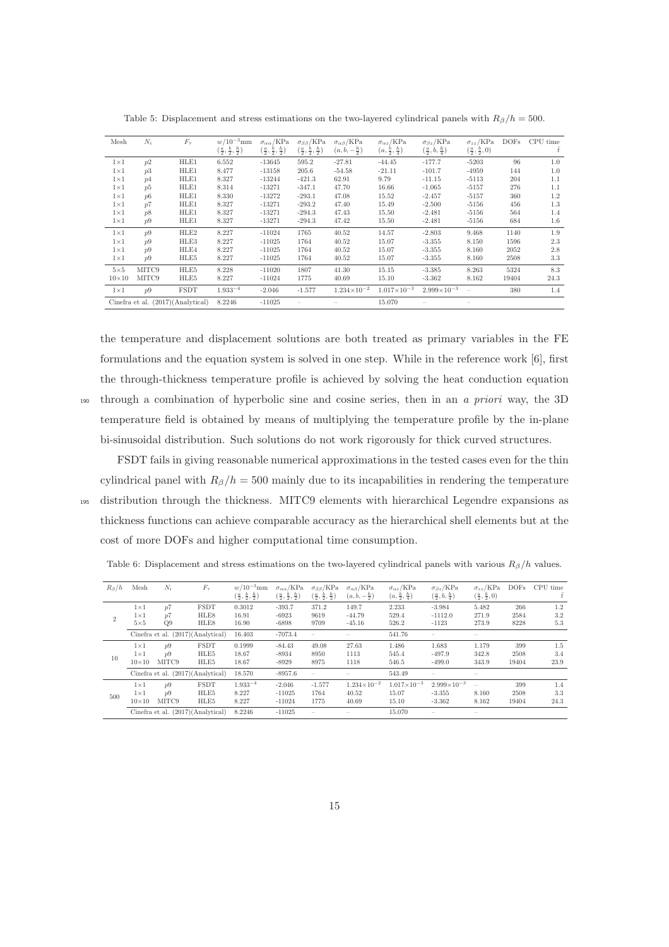| Mesh         | $N_i$ | $F_{\tau}$                        | $w/10^{-3}$ mm<br>$(\frac{a}{2}, \frac{b}{2}, \frac{h}{2})$ | $\sigma_{\alpha\alpha}$ /KPa<br>$\left(\frac{a}{2},\frac{b}{2},\frac{h}{2}\right)$ | $\sigma_{\beta\beta}/\text{KPa}$<br>$(\frac{a}{2},\frac{b}{2},\frac{h}{2})$ | $\sigma_{\alpha\beta}/\text{kPa}$<br>$(a, b, -\frac{h}{2})$ | $\sigma_{\alpha z}$ /KPa<br>$(a, \frac{b}{2}, \frac{h}{4})$ | $\sigma_{\beta z}$ /KPa<br>$\left(\frac{a}{2},b,\frac{h}{4}\right)$ | $\sigma_{zz}$ /KPa<br>$(\frac{a}{2}, \frac{b}{2}, 0)$ | <b>DOFs</b> | CPU time<br>Ŧ |
|--------------|-------|-----------------------------------|-------------------------------------------------------------|------------------------------------------------------------------------------------|-----------------------------------------------------------------------------|-------------------------------------------------------------|-------------------------------------------------------------|---------------------------------------------------------------------|-------------------------------------------------------|-------------|---------------|
| $1\times1$   | p2    | HLE1                              | 6.552                                                       | $-13645$                                                                           | 595.2                                                                       | $-27.81$                                                    | $-44.45$                                                    | $-177.7$                                                            | $-5203$                                               | 96          | 1.0           |
| $1\times1$   | p3    | HLE1                              | 8.477                                                       | $-13158$                                                                           | 205.6                                                                       | $-54.58$                                                    | $-21.11$                                                    | $-101.7$                                                            | $-4959$                                               | 144         | 1.0           |
| $1\times1$   | p4    | HLE1                              | 8.327                                                       | $-13244$                                                                           | $-421.3$                                                                    | 62.91                                                       | 9.79                                                        | $-11.15$                                                            | $-5113$                                               | 204         | 1.1           |
| $1\times1$   | p5    | HLE1                              | 8.314                                                       | $-13271$                                                                           | $-347.1$                                                                    | 47.70                                                       | 16.66                                                       | $-1.065$                                                            | $-5157$                                               | 276         | 1.1           |
| $1\times1$   | p6    | HLE1                              | 8.330                                                       | $-13272$                                                                           | $-293.1$                                                                    | 47.08                                                       | 15.52                                                       | $-2.457$                                                            | $-5157$                                               | 360         | 1.2           |
| $1\times1$   | p7    | HLE1                              | 8.327                                                       | $-13271$                                                                           | $-293.2$                                                                    | 47.40                                                       | 15.49                                                       | $-2.500$                                                            | $-5156$                                               | 456         | 1.3           |
| $1\times1$   | p8    | HLE1                              | 8.327                                                       | $-13271$                                                                           | $-294.3$                                                                    | 47.43                                                       | 15.50                                                       | $-2.481$                                                            | $-5156$                                               | 564         | 1.4           |
| $1\times1$   | p9    | HLE1                              | 8.327                                                       | $-13271$                                                                           | $-294.3$                                                                    | 47.42                                                       | 15.50                                                       | $-2.481$                                                            | $-5156$                                               | 684         | 1.6           |
| $1\times1$   | p9    | HLE2                              | 8.227                                                       | $-11024$                                                                           | 1765                                                                        | 40.52                                                       | 14.57                                                       | $-2.803$                                                            | 9.468                                                 | 1140        | 1.9           |
| $1\times1$   | p9    | HLE3                              | 8.227                                                       | $-11025$                                                                           | 1764                                                                        | 40.52                                                       | 15.07                                                       | $-3.355$                                                            | 8.150                                                 | 1596        | 2.3           |
| $1\times1$   | p9    | HLE4                              | 8.227                                                       | $-11025$                                                                           | 1764                                                                        | 40.52                                                       | 15.07                                                       | $-3.355$                                                            | 8.160                                                 | 2052        | 2.8           |
| $1\times1$   | p9    | HLE5                              | 8.227                                                       | $-11025$                                                                           | 1764                                                                        | 40.52                                                       | 15.07                                                       | $-3.355$                                                            | 8.160                                                 | 2508        | 3.3           |
| $5\times5$   | MITC9 | HLE5                              | 8.228                                                       | $-11020$                                                                           | 1807                                                                        | 41.30                                                       | 15.15                                                       | $-3.385$                                                            | 8.263                                                 | 5324        | 8.3           |
| $10\times10$ | MITC9 | HLE5                              | 8.227                                                       | $-11024$                                                                           | 1775                                                                        | 40.69                                                       | 15.10                                                       | $-3.362$                                                            | 8.162                                                 | 19404       | 24.3          |
| $1\times1$   | p9    | <b>FSDT</b>                       | $1.933^{-4}$                                                | $-2.046$                                                                           | $-1.577$                                                                    | $1.234\times10^{-2}$                                        | $1.017\times10^{-3}$                                        | $2.999\times10^{-3}$                                                |                                                       | 380         | 1.4           |
|              |       | Cinefra et al. (2017)(Analytical) | 8.2246                                                      | $-11025$                                                                           |                                                                             |                                                             | 15.070                                                      |                                                                     |                                                       |             |               |

Table 5: Displacement and stress estimations on the two-layered cylindrical panels with  $R_\beta/h = 500$ .

the temperature and displacement solutions are both treated as primary variables in the FE formulations and the equation system is solved in one step. While in the reference work [6], first the through-thickness temperature profile is achieved by solving the heat conduction equation <sup>190</sup> through a combination of hyperbolic sine and cosine series, then in an *a priori* way, the 3D temperature field is obtained by means of multiplying the temperature profile by the in-plane bi-sinusoidal distribution. Such solutions do not work rigorously for thick curved structures.

FSDT fails in giving reasonable numerical approximations in the tested cases even for the thin cylindrical panel with  $R_\beta/h = 500$  mainly due to its incapabilities in rendering the temperature <sup>195</sup> distribution through the thickness. MITC9 elements with hierarchical Legendre expansions as thickness functions can achieve comparable accuracy as the hierarchical shell elements but at the cost of more DOFs and higher computational time consumption.

Table 6: Displacement and stress estimations on the two-layered cylindrical panels with various  $R_\beta/h$  values.

| $R_\beta/h$    | Mesh                                     | $N_i$             | $F_{\tau}$                        | $w/10^{-3}$ mm<br>$\left(\frac{a}{2},\frac{b}{2},\frac{h}{2}\right)$ | $\sigma_{\alpha\alpha}$ /KPa<br>$\left(\frac{a}{2},\frac{b}{2},\frac{h}{2}\right)$ | $\sigma_{\beta\beta}/\text{KPa}$<br>$(\frac{a}{2},\frac{b}{2},\frac{h}{2})$ | $\sigma_{\alpha\beta}/\text{KPa}$<br>$(a, b, -\frac{h}{2})$ | $\sigma_{\alpha z}$ /KPa<br>$(a, \frac{b}{2}, \frac{h}{4})$ | $\sigma_{\beta z}$ /KPa<br>$\left(\frac{a}{2},b,\frac{h}{4}\right)$ | $\sigma_{zz}/\text{KPa}$<br>$(\frac{a}{2}, \frac{b}{2}, 0)$ | <b>DOFs</b>          | CPU time           |
|----------------|------------------------------------------|-------------------|-----------------------------------|----------------------------------------------------------------------|------------------------------------------------------------------------------------|-----------------------------------------------------------------------------|-------------------------------------------------------------|-------------------------------------------------------------|---------------------------------------------------------------------|-------------------------------------------------------------|----------------------|--------------------|
|                | $1\times1$<br>$1\times1$                 | p7<br>p7          | <b>FSDT</b><br>HLE8               | 0.3012<br>16.91                                                      | $-393.7$<br>$-6923$                                                                | 371.2<br>9619                                                               | 149.7<br>$-44.79$                                           | 2.233<br>529.4                                              | $-3.984$<br>$-1112.0$                                               | 5.482<br>271.9                                              | 266<br>2584          | 1.2<br>3.2         |
| $\overline{2}$ | $5\times5$                               | Q9                | HLE8                              | 16.90                                                                | $-6898$                                                                            | 9709                                                                        | $-45.16$                                                    | 526.2                                                       | $-1123$                                                             | 273.9                                                       | 8228                 | 5.3                |
|                |                                          |                   | Cinefra et al. (2017)(Analytical) | 16.403                                                               | $-7073.4$                                                                          |                                                                             |                                                             | 541.76                                                      |                                                                     |                                                             |                      |                    |
| 10             | $1\times1$<br>$1\times1$<br>$10\times10$ | p9<br>p9<br>MITC9 | <b>FSDT</b><br>HLE5<br>HLE5       | 0.1999<br>18.67<br>18.67                                             | $-84.43$<br>$-8934$<br>$-8929$                                                     | 49.08<br>8950<br>8975                                                       | 27.63<br>1113<br>1118                                       | 1.486<br>545.4<br>546.5                                     | 1.683<br>$-497.9$<br>$-499.0$                                       | 1.179<br>342.8<br>343.9                                     | 399<br>2508<br>19404 | 1.5<br>3.4<br>23.9 |
|                | Cinefra et al. (2017)(Analytical)        |                   | 18.570                            | $-8957.6$                                                            |                                                                                    |                                                                             | 543.49                                                      |                                                             |                                                                     |                                                             |                      |                    |
| 500            | $1\times1$<br>$1\times1$<br>$10\times10$ | p9<br>p9<br>MITC9 | <b>FSDT</b><br>HLE5<br>HLE5       | $1.933^{-4}$<br>8.227<br>8.227                                       | $-2.046$<br>$-11025$<br>$-11024$                                                   | $-1.577$<br>1764<br>1775                                                    | $1.234\times10^{-2}$<br>40.52<br>40.69                      | $1.017\times10^{-3}$<br>15.07<br>15.10                      | $2.999\times10^{-3}$<br>$-3.355$<br>$-3.362$                        | 8.160<br>8.162                                              | 399<br>2508<br>19404 | 1.4<br>3.3<br>24.3 |
|                |                                          |                   | Cinefra et al. (2017)(Analytical) | 8.2246                                                               | $-11025$                                                                           |                                                                             |                                                             | 15.070                                                      |                                                                     |                                                             |                      |                    |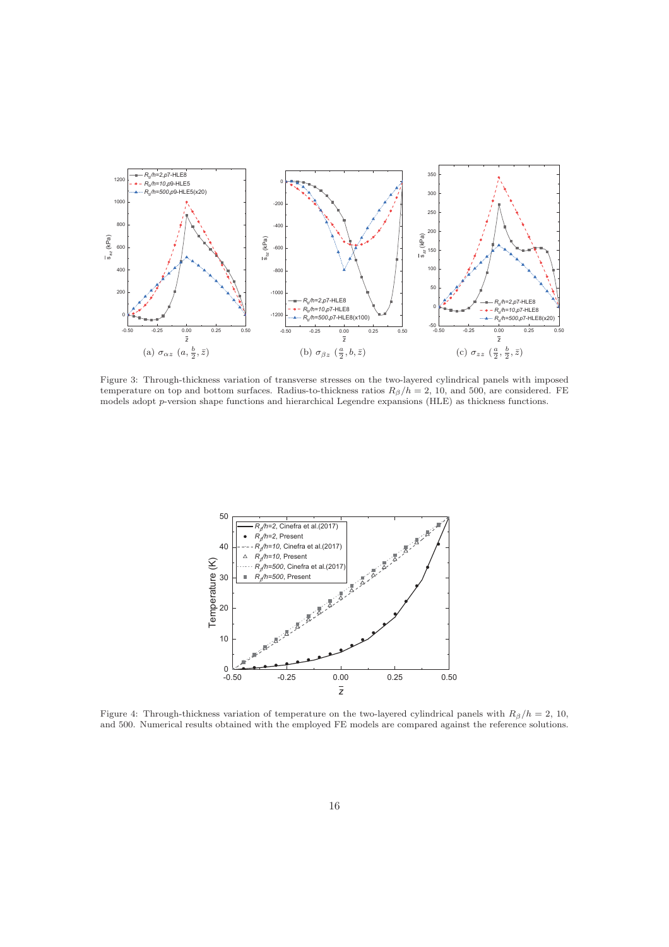

Figure 3: Through-thickness variation of transverse stresses on the two-layered cylindrical panels with imposed temperature on top and bottom surfaces. Radius-to-thickness ratios  $R_\beta/h = 2$ , 10, and 500, are considered. FE models adopt p-version shape functions and hierarchical Legendre expansions (HLE) as thickness functions.



Figure 4: Through-thickness variation of temperature on the two-layered cylindrical panels with  $R_\beta/h = 2$ , 10, and 500. Numerical results obtained with the employed FE models are compared against the reference solutions.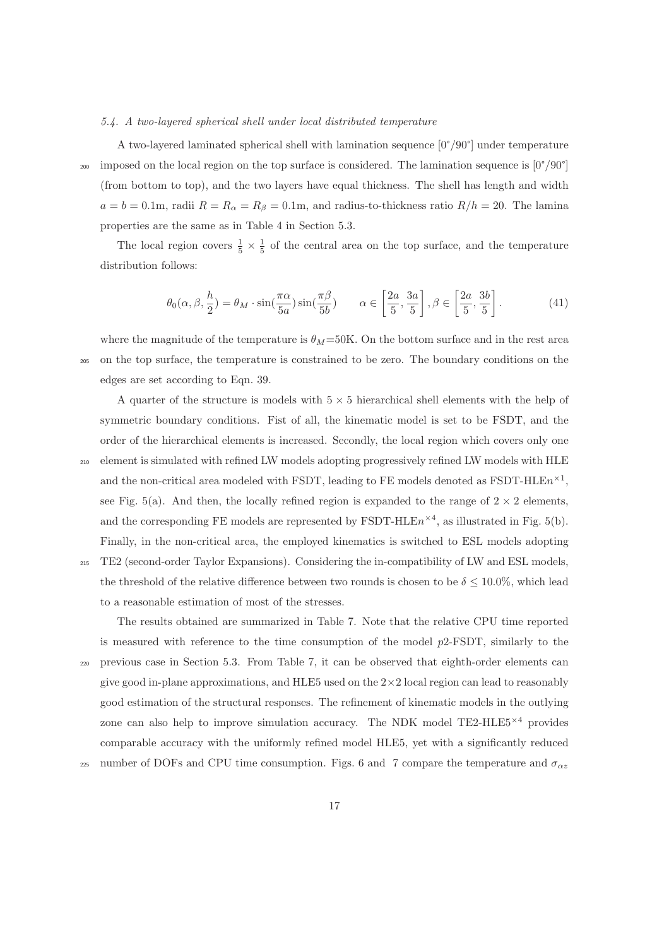### *5.4. A two-layered spherical shell under local distributed temperature*

A two-layered laminated spherical shell with lamination sequence [0°/90°] under temperature <sup>200</sup> imposed on the local region on the top surface is considered. The lamination sequence is  $[0^{\circ}/90^{\circ}]$ (from bottom to top), and the two layers have equal thickness. The shell has length and width  $a = b = 0.1$ m, radii  $R = R_{\alpha} = R_{\beta} = 0.1$ m, and radius-to-thickness ratio  $R/h = 20$ . The lamina properties are the same as in Table 4 in Section 5.3.

The local region covers  $\frac{1}{5} \times \frac{1}{5}$  of the central area on the top surface, and the temperature distribution follows:

$$
\theta_0(\alpha, \beta, \frac{h}{2}) = \theta_M \cdot \sin(\frac{\pi \alpha}{5a}) \sin(\frac{\pi \beta}{5b}) \qquad \alpha \in \left[\frac{2a}{5}, \frac{3a}{5}\right], \beta \in \left[\frac{2a}{5}, \frac{3b}{5}\right].
$$
 (41)

where the magnitude of the temperature is  $\theta_M$ =50K. On the bottom surface and in the rest area

<sup>205</sup> on the top surface, the temperature is constrained to be zero. The boundary conditions on the edges are set according to Eqn. 39.

A quarter of the structure is models with  $5 \times 5$  hierarchical shell elements with the help of symmetric boundary conditions. Fist of all, the kinematic model is set to be FSDT, and the order of the hierarchical elements is increased. Secondly, the local region which covers only one <sup>210</sup> element is simulated with refined LW models adopting progressively refined LW models with HLE and the non-critical area modeled with FSDT, leading to FE models denoted as FSDT-HLE $n^{\times 1}$ , see Fig. 5(a). And then, the locally refined region is expanded to the range of  $2 \times 2$  elements, and the corresponding FE models are represented by FSDT-HLE $n^{\times 4}$ , as illustrated in Fig. 5(b). Finally, in the non-critical area, the employed kinematics is switched to ESL models adopting <sup>215</sup> TE2 (second-order Taylor Expansions). Considering the in-compatibility of LW and ESL models,

the threshold of the relative difference between two rounds is chosen to be  $\delta \leq 10.0\%$ , which lead to a reasonable estimation of most of the stresses.

The results obtained are summarized in Table 7. Note that the relative CPU time reported is measured with reference to the time consumption of the model p2-FSDT, similarly to the <sup>220</sup> previous case in Section 5.3. From Table 7, it can be observed that eighth-order elements can give good in-plane approximations, and HLE5 used on the  $2\times 2$  local region can lead to reasonably good estimation of the structural responses. The refinement of kinematic models in the outlying zone can also help to improve simulation accuracy. The NDK model  $TE2-HLE5^{\times 4}$  provides comparable accuracy with the uniformly refined model HLE5, yet with a significantly reduced

225 number of DOFs and CPU time consumption. Figs. 6 and 7 compare the temperature and  $\sigma_{\alpha z}$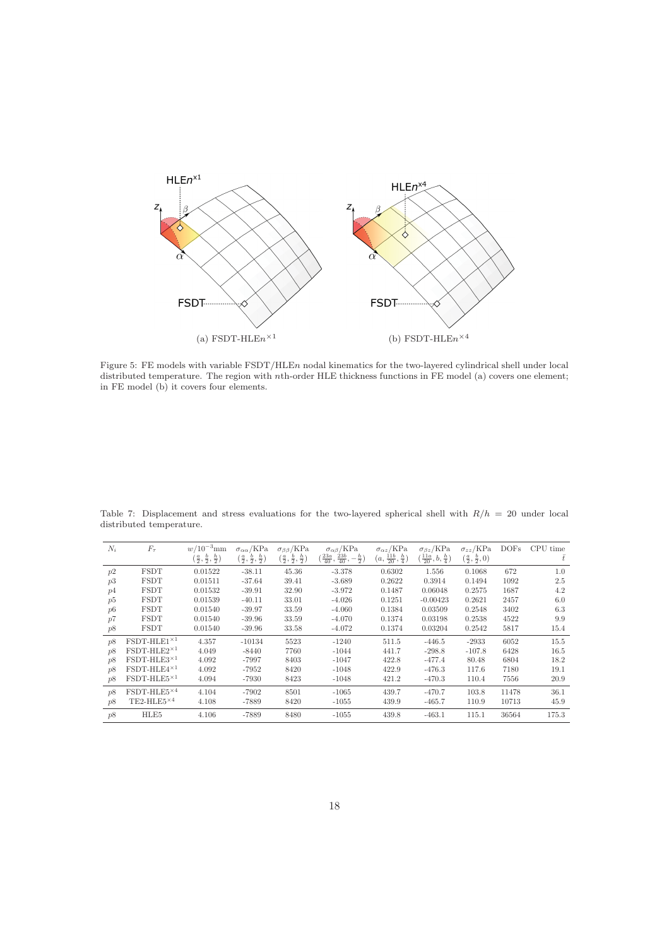

Figure 5: FE models with variable FSDT/HLEn nodal kinematics for the two-layered cylindrical shell under local distributed temperature. The region with nth-order HLE thickness functions in FE model (a) covers one element; in FE model (b) it covers four elements.

| $N_i$ | $F_{\tau}$                     | $w/10^{-3}$ mm                          | $\sigma_{\alpha\alpha}$ /KPa            | $\sigma_{\beta\beta}/\text{kPa}$        | $\sigma_{\alpha\beta}/\text{KPa}$                | $\sigma_{\alpha z}$ /KPa           | $\sigma_{\beta z}$ /KPa          | $\sigma_{zz}/\text{KPa}$        | DOFs  | <b>CPU</b><br>time |
|-------|--------------------------------|-----------------------------------------|-----------------------------------------|-----------------------------------------|--------------------------------------------------|------------------------------------|----------------------------------|---------------------------------|-------|--------------------|
|       |                                | $(\frac{a}{2},\frac{b}{2},\frac{h}{2})$ | $(\frac{a}{2},\frac{b}{2},\frac{h}{2})$ | $(\frac{a}{2},\frac{b}{2},\frac{h}{2})$ | $(\frac{23a}{40}, \frac{23b}{40}, -\frac{h}{2})$ | $(a, \frac{11b}{20}, \frac{h}{4})$ | $(\frac{11a}{20},b,\frac{h}{4})$ | $(\frac{a}{2}, \frac{b}{2}, 0)$ |       | Ŧ                  |
| p2    | <b>FSDT</b>                    | 0.01522                                 | $-38.11$                                | 45.36                                   | $-3.378$                                         | 0.6302                             | 1.556                            | 0.1068                          | 672   | 1.0                |
| p3    | <b>FSDT</b>                    | 0.01511                                 | $-37.64$                                | 39.41                                   | $-3.689$                                         | 0.2622                             | 0.3914                           | 0.1494                          | 1092  | 2.5                |
| p4    | <b>FSDT</b>                    | 0.01532                                 | $-39.91$                                | 32.90                                   | $-3.972$                                         | 0.1487                             | 0.06048                          | 0.2575                          | 1687  | 4.2                |
| p5    | <b>FSDT</b>                    | 0.01539                                 | $-40.11$                                | 33.01                                   | $-4.026$                                         | 0.1251                             | $-0.00423$                       | 0.2621                          | 2457  | 6.0                |
| p6    | <b>FSDT</b>                    | 0.01540                                 | $-39.97$                                | 33.59                                   | $-4.060$                                         | 0.1384                             | 0.03509                          | 0.2548                          | 3402  | 6.3                |
| p7    | <b>FSDT</b>                    | 0.01540                                 | $-39.96$                                | 33.59                                   | $-4.070$                                         | 0.1374                             | 0.03198                          | 0.2538                          | 4522  | 9.9                |
| p8    | <b>FSDT</b>                    | 0.01540                                 | $-39.96$                                | 33.58                                   | $-4.072$                                         | 0.1374                             | 0.03204                          | 0.2542                          | 5817  | 15.4               |
| p8    | $FSDT-HLE1\times 1$            | 4.357                                   | $-10134$                                | 5523                                    | $-1240$                                          | 511.5                              | $-446.5$                         | $-2933$                         | 6052  | 15.5               |
| p8    | $FSDT-HLE2^{\times 1}$         | 4.049                                   | $-8440$                                 | 7760                                    | $-1044$                                          | 441.7                              | $-298.8$                         | $-107.8$                        | 6428  | 16.5               |
| p8    | $FSDT-HLE3×1$                  | 4.092                                   | $-7997$                                 | 8403                                    | $-1047$                                          | 422.8                              | $-477.4$                         | 80.48                           | 6804  | 18.2               |
| p8    | $FSDT-HLE4\times 1$            | 4.092                                   | $-7952$                                 | 8420                                    | $-1048$                                          | 422.9                              | $-476.3$                         | 117.6                           | 7180  | 19.1               |
| p8    | $FSDT-HLE5\times 1$            | 4.094                                   | $-7930$                                 | 8423                                    | $-1048$                                          | 421.2                              | $-470.3$                         | 110.4                           | 7556  | 20.9               |
| p8    | FSDT-HLE5×4                    | 4.104                                   | $-7902$                                 | 8501                                    | $-1065$                                          | 439.7                              | $-470.7$                         | 103.8                           | 11478 | 36.1               |
| p8    | TE2-HLE5 $\times$ <sup>4</sup> | 4.108                                   | -7889                                   | 8420                                    | $-1055$                                          | 439.9                              | $-465.7$                         | 110.9                           | 10713 | 45.9               |
| p8    | HLE5                           | 4.106                                   | -7889                                   | 8480                                    | $-1055$                                          | 439.8                              | $-463.1$                         | 115.1                           | 36564 | 175.3              |

Table 7: Displacement and stress evaluations for the two-layered spherical shell with  $R/h = 20$  under local distributed temperature.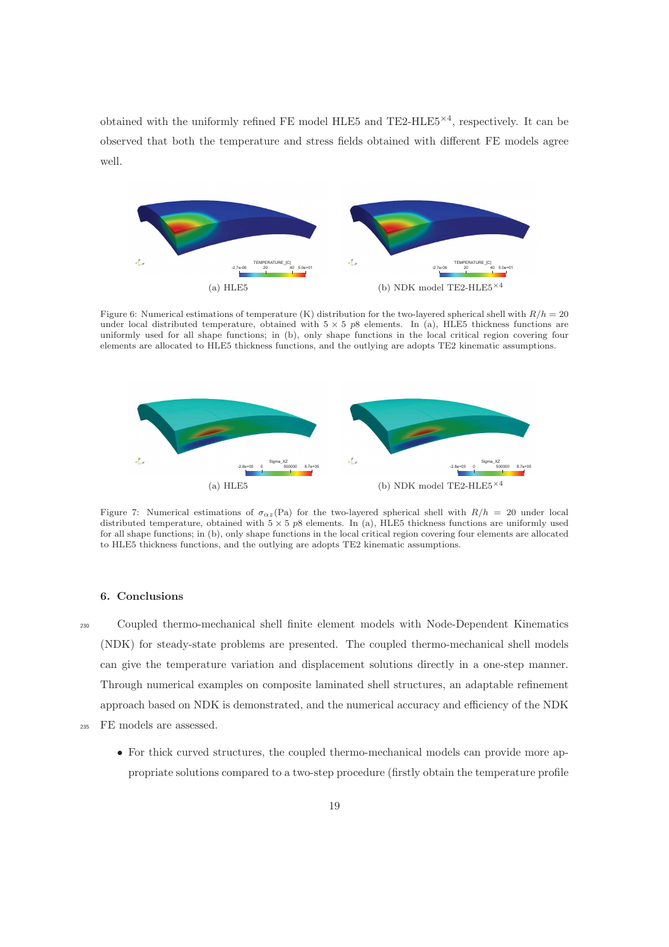obtained with the uniformly refined FE model HLE5 and TE2-HLE5<sup> $\times$ 4</sup>, respectively. It can be observed that both the temperature and stress fields obtained with different FE models agree well.



Figure 6: Numerical estimations of temperature (K) distribution for the two-layered spherical shell with  $R/h = 20$ under local distributed temperature, obtained with  $5 \times 5$  p8 elements. In (a), HLE5 thickness functions are uniformly used for all shape functions; in (b), only shape functions in the local critical region covering four elements are allocated to HLE5 thickness functions, and the outlying are adopts TE2 kinematic assumptions.



Figure 7: Numerical estimations of  $\sigma_{\alpha z}(\text{Pa})$  for the two-layered spherical shell with  $R/h = 20$  under local distributed temperature, obtained with  $5 \times 5$  p8 elements. In (a), HLE5 thickness functions are uniformly used for all shape functions; in (b), only shape functions in the local critical region covering four elements are allocated to HLE5 thickness functions, and the outlying are adopts TE2 kinematic assumptions.

# 6. Conclusions

<sup>230</sup> Coupled thermo-mechanical shell finite element models with Node-Dependent Kinematics (NDK) for steady-state problems are presented. The coupled thermo-mechanical shell models can give the temperature variation and displacement solutions directly in a one-step manner. Through numerical examples on composite laminated shell structures, an adaptable refinement approach based on NDK is demonstrated, and the numerical accuracy and efficiency of the NDK

- <sup>235</sup> FE models are assessed.
	- For thick curved structures, the coupled thermo-mechanical models can provide more appropriate solutions compared to a two-step procedure (firstly obtain the temperature profile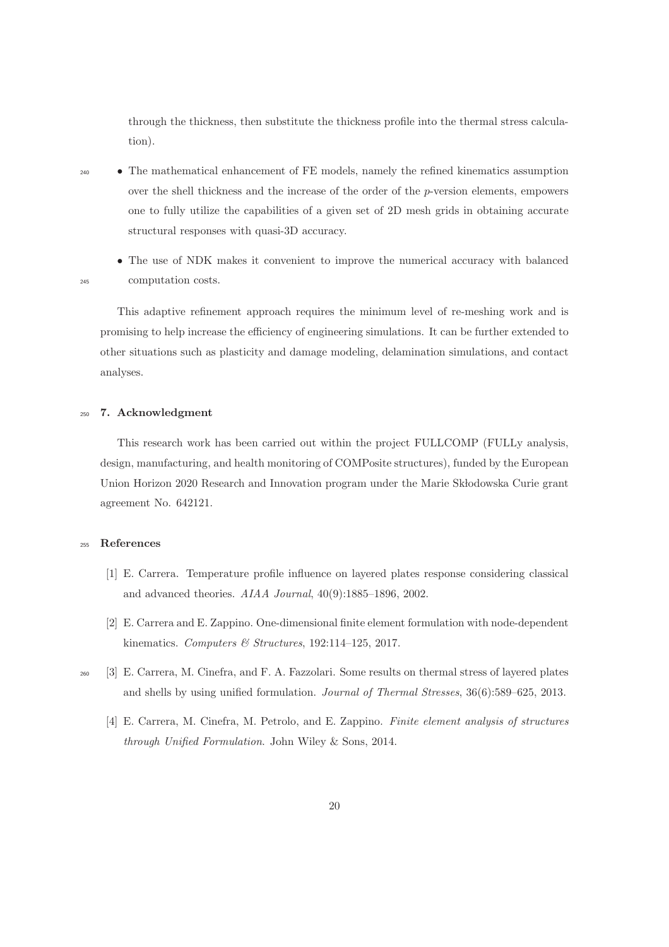through the thickness, then substitute the thickness profile into the thermal stress calculation).

<sup>240</sup> • The mathematical enhancement of FE models, namely the refined kinematics assumption over the shell thickness and the increase of the order of the p-version elements, empowers one to fully utilize the capabilities of a given set of 2D mesh grids in obtaining accurate structural responses with quasi-3D accuracy.

• The use of NDK makes it convenient to improve the numerical accuracy with balanced <sup>245</sup> computation costs.

This adaptive refinement approach requires the minimum level of re-meshing work and is promising to help increase the efficiency of engineering simulations. It can be further extended to other situations such as plasticity and damage modeling, delamination simulations, and contact analyses.

# <sup>250</sup> 7. Acknowledgment

This research work has been carried out within the project FULLCOMP (FULLy analysis, design, manufacturing, and health monitoring of COMPosite structures), funded by the European Union Horizon 2020 Research and Innovation program under the Marie Skłodowska Curie grant agreement No. 642121.

# <sup>255</sup> References

- [1] E. Carrera. Temperature profile influence on layered plates response considering classical and advanced theories. *AIAA Journal*, 40(9):1885–1896, 2002.
- [2] E. Carrera and E. Zappino. One-dimensional finite element formulation with node-dependent kinematics. *Computers & Structures*, 192:114–125, 2017.
- <sup>260</sup> [3] E. Carrera, M. Cinefra, and F. A. Fazzolari. Some results on thermal stress of layered plates and shells by using unified formulation. *Journal of Thermal Stresses*, 36(6):589–625, 2013.
	- [4] E. Carrera, M. Cinefra, M. Petrolo, and E. Zappino. *Finite element analysis of structures through Unified Formulation*. John Wiley & Sons, 2014.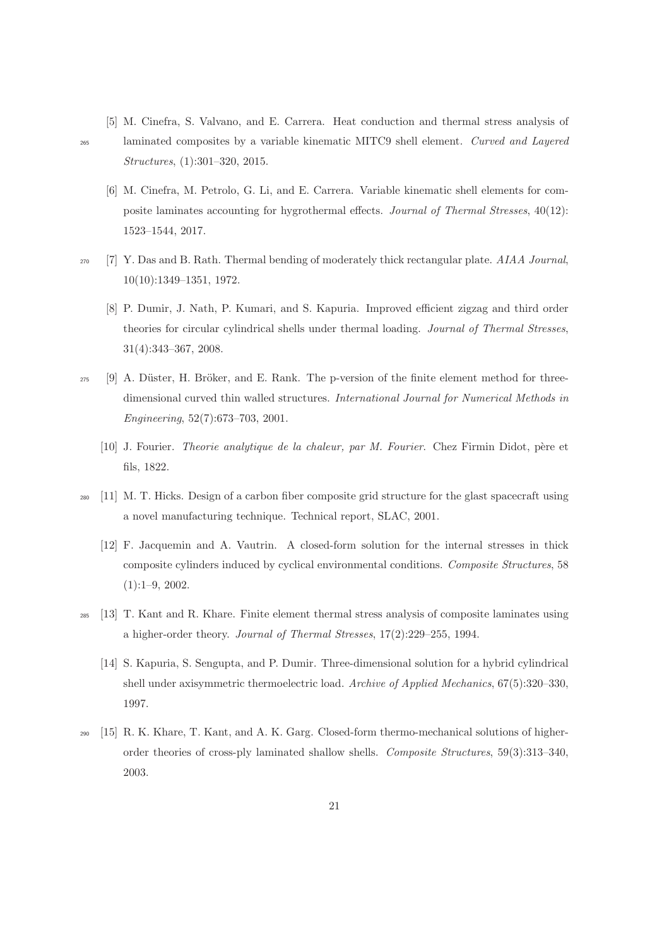- [5] M. Cinefra, S. Valvano, and E. Carrera. Heat conduction and thermal stress analysis of <sup>265</sup> laminated composites by a variable kinematic MITC9 shell element. *Curved and Layered Structures*, (1):301–320, 2015.
- 
- [6] M. Cinefra, M. Petrolo, G. Li, and E. Carrera. Variable kinematic shell elements for composite laminates accounting for hygrothermal effects. *Journal of Thermal Stresses*, 40(12): 1523–1544, 2017.
- <sup>270</sup> [7] Y. Das and B. Rath. Thermal bending of moderately thick rectangular plate. *AIAA Journal*, 10(10):1349–1351, 1972.
	- [8] P. Dumir, J. Nath, P. Kumari, and S. Kapuria. Improved efficient zigzag and third order theories for circular cylindrical shells under thermal loading. *Journal of Thermal Stresses*, 31(4):343–367, 2008.
- $_{275}$  [9] A. Düster, H. Bröker, and E. Rank. The p-version of the finite element method for threedimensional curved thin walled structures. *International Journal for Numerical Methods in Engineering*, 52(7):673–703, 2001.
	- [10] J. Fourier. *Theorie analytique de la chaleur, par M. Fourier*. Chez Firmin Didot, p`ere et fils, 1822.
- <sup>280</sup> [11] M. T. Hicks. Design of a carbon fiber composite grid structure for the glast spacecraft using a novel manufacturing technique. Technical report, SLAC, 2001.
	- [12] F. Jacquemin and A. Vautrin. A closed-form solution for the internal stresses in thick composite cylinders induced by cyclical environmental conditions. *Composite Structures*, 58 (1):1–9, 2002.
- <sup>285</sup> [13] T. Kant and R. Khare. Finite element thermal stress analysis of composite laminates using a higher-order theory. *Journal of Thermal Stresses*, 17(2):229–255, 1994.
	- [14] S. Kapuria, S. Sengupta, and P. Dumir. Three-dimensional solution for a hybrid cylindrical shell under axisymmetric thermoelectric load. *Archive of Applied Mechanics*, 67(5):320–330, 1997.
- <sup>290</sup> [15] R. K. Khare, T. Kant, and A. K. Garg. Closed-form thermo-mechanical solutions of higherorder theories of cross-ply laminated shallow shells. *Composite Structures*, 59(3):313–340, 2003.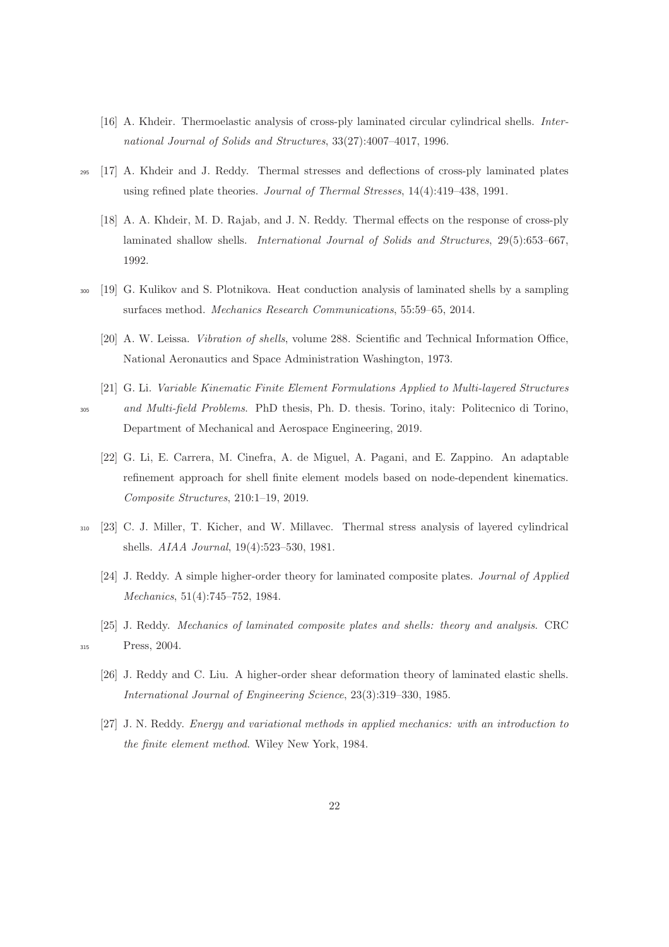- [16] A. Khdeir. Thermoelastic analysis of cross-ply laminated circular cylindrical shells. *International Journal of Solids and Structures*, 33(27):4007–4017, 1996.
- <sup>295</sup> [17] A. Khdeir and J. Reddy. Thermal stresses and deflections of cross-ply laminated plates using refined plate theories. *Journal of Thermal Stresses*, 14(4):419–438, 1991.
	- [18] A. A. Khdeir, M. D. Rajab, and J. N. Reddy. Thermal effects on the response of cross-ply laminated shallow shells. *International Journal of Solids and Structures*, 29(5):653–667, 1992.
- <sup>300</sup> [19] G. Kulikov and S. Plotnikova. Heat conduction analysis of laminated shells by a sampling surfaces method. *Mechanics Research Communications*, 55:59–65, 2014.
	- [20] A. W. Leissa. *Vibration of shells*, volume 288. Scientific and Technical Information Office, National Aeronautics and Space Administration Washington, 1973.
- [21] G. Li. *Variable Kinematic Finite Element Formulations Applied to Multi-layered Structures* <sup>305</sup> *and Multi-field Problems*. PhD thesis, Ph. D. thesis. Torino, italy: Politecnico di Torino, Department of Mechanical and Aerospace Engineering, 2019.
	- [22] G. Li, E. Carrera, M. Cinefra, A. de Miguel, A. Pagani, and E. Zappino. An adaptable refinement approach for shell finite element models based on node-dependent kinematics. *Composite Structures*, 210:1–19, 2019.
- <sup>310</sup> [23] C. J. Miller, T. Kicher, and W. Millavec. Thermal stress analysis of layered cylindrical shells. *AIAA Journal*, 19(4):523–530, 1981.
	- [24] J. Reddy. A simple higher-order theory for laminated composite plates. *Journal of Applied Mechanics*, 51(4):745–752, 1984.
- [25] J. Reddy. *Mechanics of laminated composite plates and shells: theory and analysis*. CRC <sup>315</sup> Press, 2004.
	- [26] J. Reddy and C. Liu. A higher-order shear deformation theory of laminated elastic shells. *International Journal of Engineering Science*, 23(3):319–330, 1985.
	- [27] J. N. Reddy. *Energy and variational methods in applied mechanics: with an introduction to the finite element method*. Wiley New York, 1984.